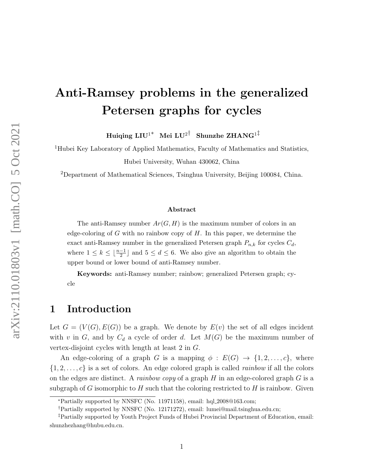# Anti-Ramsey problems in the generalized Petersen graphs for cycles

Huiqing  $LIU^{1*}$  Mei  $LU^{2\dagger}$  Shunzhe ZHANG<sup>1‡</sup>

<sup>1</sup>Hubei Key Laboratory of Applied Mathematics, Faculty of Mathematics and Statistics, Hubei University, Wuhan 430062, China

<sup>2</sup>Department of Mathematical Sciences, Tsinghua University, Beijing 100084, China.

#### Abstract

The anti-Ramsey number  $Ar(G, H)$  is the maximum number of colors in an edge-coloring of  $G$  with no rainbow copy of  $H$ . In this paper, we determine the exact anti-Ramsey number in the generalized Petersen graph  $P_{n,k}$  for cycles  $C_d$ , where  $1 \leq k \leq \lfloor \frac{n-1}{2} \rfloor$  and  $5 \leq d \leq 6$ . We also give an algorithm to obtain the upper bound or lower bound of anti-Ramsey number.

Keywords: anti-Ramsey number; rainbow; generalized Petersen graph; cycle

### 1 Introduction

Let  $G = (V(G), E(G))$  be a graph. We denote by  $E(v)$  the set of all edges incident with v in G, and by  $C_d$  a cycle of order d. Let  $M(G)$  be the maximum number of vertex-disjoint cycles with length at least 2 in G.

An edge-coloring of a graph G is a mapping  $\phi : E(G) \rightarrow \{1, 2, ..., c\}$ , where  $\{1, 2, \ldots, c\}$  is a set of colors. An edge colored graph is called *rainbow* if all the colors on the edges are distinct. A *rainbow copy* of a graph  $H$  in an edge-colored graph  $G$  is a subgraph of G isomorphic to H such that the coloring restricted to H is rainbow. Given

<sup>∗</sup>Partially supported by NNSFC (No. 11971158), email: hql 2008@163.com;

<sup>†</sup>Partially supported by NNSFC (No. 12171272), email: lumei@mail.tsinghua.edu.cn;

<sup>‡</sup>Partially supported by Youth Project Funds of Hubei Provincial Department of Education, email: shunzhezhang@hubu.edu.cn.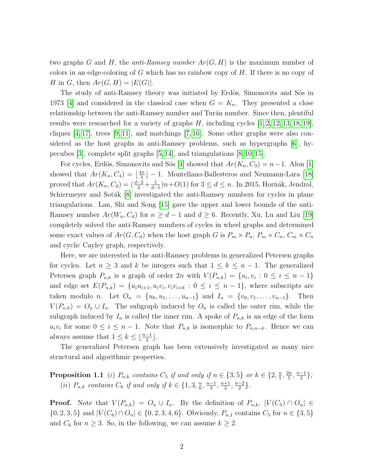two graphs G and H, the *anti-Ramsey number*  $Ar(G, H)$  is the maximum number of colors in an edge-coloring of  $G$  which has no rainbow copy of  $H$ . If there is no copy of H in G, then  $Ar(G, H) = |E(G)|$ .

The study of anti-Ramsey theory was initiated by Erdös, Simonovits and Sos in 1973 [\[4\]](#page-23-0) and considered in the classical case when  $G = K_n$ . They presented a close relationship between the anti-Ramsey number and Turán number. Since then, plentiful results were researched for a variety of graphs  $H$ , including cycles  $[1, 2, 12, 13, 18, 19]$  $[1, 2, 12, 13, 18, 19]$  $[1, 2, 12, 13, 18, 19]$  $[1, 2, 12, 13, 18, 19]$  $[1, 2, 12, 13, 18, 19]$  $[1, 2, 12, 13, 18, 19]$ , cliques  $[4, 17]$  $[4, 17]$ , trees  $[9, 11]$  $[9, 11]$ , and matchings  $[7, 16]$  $[7, 16]$ . Some other graphs were also considered as the host graphs in anti-Ramsey problems, such as hypergraphs [\[6\]](#page-23-5), hypecubes [\[3\]](#page-23-6), complete split graphs [\[5,](#page-23-7) [14\]](#page-24-7), and triangulations [\[8,](#page-23-8) [10,](#page-24-8) [15\]](#page-24-9).

For cycles, Erdös, Simonovits and Sós [\[4\]](#page-23-0) showed that  $Ar(K_n, C_3) = n-1$ . Alon [\[1\]](#page-23-1) showed that  $Ar(K_n, C_4) = \lfloor \frac{4n}{3} \rfloor$  $\frac{\ln n}{3}$ ] – 1. Montellano-Ballesteros and Neumann-Lara [\[18\]](#page-24-2) proved that  $Ar(K_n, C_d) = \left(\frac{d-2}{2} + \frac{1}{d-2}\right)$  $\frac{1}{d-1}$ )n+O(1) for  $3 \le d \le n$ . In 2015, Horňák, Jendrol, Schiermeyer and Sotak [\[8\]](#page-23-8) investigated the anti-Ramsey numbers for cycles in plane triangulations. Lan, Shi and Song [\[15\]](#page-24-9) gave the upper and lower bounds of the anti-Ramsey number  $Ar(W_n, C_d)$  for  $n \geq d-1$  and  $d \geq 6$ . Recently, Xu, Lu and Liu [\[19\]](#page-24-3) completely solved the anti-Ramsey numbers of cycles in wheel graphs and determined some exact values of  $Ar(G, C_d)$  when the host graph G is  $P_m \times P_n$ ,  $P_m \times C_n$ ,  $C_m \times C_n$ and cyclic Cayley graph, respectively.

Here, we are interested in the anti-Ramsey problems in generalized Petersen graphs for cycles. Let  $n \geq 3$  and k be integers such that  $1 \leq k \leq n-1$ . The generalized Petersen graph  $P_{n,k}$  is a graph of order 2n with  $V(P_{n,k}) = \{u_i, v_i : 0 \le i \le n-1\}$ and edge set  $E(P_{n,k}) = \{u_i u_{i+1}, u_i v_i, v_i v_{i+k} : 0 \le i \le n-1\}$ , where subscripts are taken modulo *n*. Let  $O_n = \{u_0, u_1, \ldots, u_{n-1}\}\$  and  $I_n = \{v_0, v_1, \ldots, v_{n-1}\}\$ . Then  $V(P_{n,k}) = O_n \cup I_n$ . The subgraph induced by  $O_n$  is called the outer rim, while the subgraph induced by  $I_n$  is called the inner rim. A spoke of  $P_{n,k}$  is an edge of the form  $u_i v_i$  for some  $0 \leq i \leq n-1$ . Note that  $P_{n,k}$  is isomorphic to  $P_{n,n-k}$ . Hence we can always assume that  $1 \leq k \leq \lfloor \frac{n-1}{2} \rfloor$ .

The generalized Petersen graph has been extensively investigated as many nice structural and algorithmic properties.

<span id="page-1-0"></span>**Proposition 1.1** (i)  $P_{n,k}$  contains  $C_5$  if and only if  $n \in \{3,5\}$  or  $k \in \{2, \frac{n}{5}\}$  $\frac{n}{5}, \frac{2n}{5}$  $\frac{2n}{5}, \frac{n-1}{2}$  $\frac{-1}{2}\},\$ (ii)  $P_{n,k}$  contains  $C_6$  if and only if  $k \in \{1,3,\frac{n}{6}\}$  $\frac{n}{6}, \frac{n-1}{3}$  $\frac{-1}{3}, \frac{n+1}{3}$  $\frac{+1}{3}, \frac{n-2}{2}$  $\frac{-2}{2}\}.$ 

**Proof.** Note that  $V(P_{n,k}) = O_n \cup I_n$ . By the definition of  $P_{n,k}$ ,  $|V(C_5) \cap O_n| \in$  $\{0, 2, 3, 5\}$  and  $|V(C_6) \cap O_n| \in \{0, 2, 3, 4, 6\}$ . Obviously,  $P_{n,1}$  contains  $C_5$  for  $n \in \{3, 5\}$ and  $C_6$  for  $n \geq 3$ . So, in the following, we can assume  $k \geq 2$ .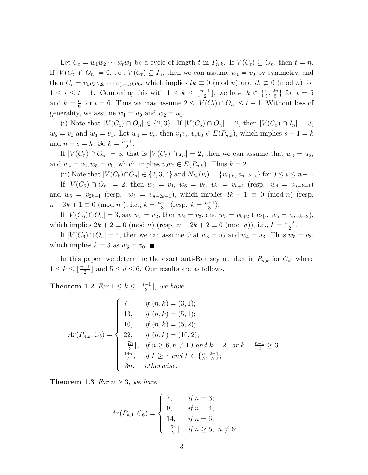Let  $C_t = w_1w_2\cdots w_tw_1$  be a cycle of length t in  $P_{n,k}$ . If  $V(C_t) \subseteq O_n$ , then  $t = n$ . If  $|V(C_t) \cap O_n| = 0$ , i.e.,  $V(C_t) \subseteq I_n$ , then we can assume  $w_1 = v_0$  by symmetry, and then  $C_t = v_0v_kv_{2k} \cdots v_{(t-1)k}v_0$ , which implies  $tk \equiv 0 \pmod{n}$  and  $ik \not\equiv 0 \pmod{n}$  for  $1 \leq i \leq t-1$ . Combining this with  $1 \leq k \leq \lfloor \frac{n-1}{2} \rfloor$ , we have  $k \in \{\frac{n}{5}, \frac{2n}{5} \}$  $\frac{2n}{5}$  for  $t=5$ and  $k = \frac{n}{6}$  $\frac{n}{6}$  for  $t = 6$ . Thus we may assume  $2 \leq |V(C_t) \cap O_n| \leq t - 1$ . Without loss of generality, we assume  $w_1 = u_0$  and  $w_2 = u_1$ .

(i) Note that  $|V(C_5) \cap O_n| \in \{2,3\}$ . If  $|V(C_5) \cap O_n| = 2$ , then  $|V(C_5) \cap I_n| = 3$ ,  $w_5 = v_0$  and  $w_3 = v_1$ . Let  $w_4 = v_s$ , then  $v_1v_s, v_sv_0 \in E(P_{n,k})$ , which implies  $s - 1 = k$ and  $n-s=k$ . So  $k=\frac{n-1}{2}$  $\frac{-1}{2}$ .

If  $|V(C_5) \cap O_n| = 3$ , that is  $|V(C_5) \cap I_n| = 2$ , then we can assume that  $w_3 = u_2$ , and  $w_4 = v_2, w_5 = v_0$ , which implies  $v_2v_0 \in E(P_{n,k})$ . Thus  $k = 2$ .

(ii) Note that  $|V(C_6) \cap O_n| \in \{2, 3, 4\}$  and  $N_{I_n}(v_i) = \{v_{i+k}, v_{n-k+i}\}\$  for  $0 \le i \le n-1$ . If  $|V(C_6) \cap O_n| = 2$ , then  $w_3 = v_1$ ,  $w_6 = v_0$ ,  $w_4 = v_{k+1}$  (resp.  $w_4 = v_{n-k+1}$ ) and  $w_5 = v_{2k+1}$  (resp.  $w_5 = v_{n-2k+1}$ ), which implies  $3k + 1 \equiv 0 \pmod{n}$  (resp.  $n-3k+1 \equiv 0 \pmod{n}$ , i.e.,  $k = \frac{n-1}{3}$  $\frac{-1}{3}$  (resp.  $k = \frac{n+1}{3}$  $\frac{+1}{3}$ ).

If  $|V(C_6) \cap O_n| = 3$ , say  $w_3 = u_2$ , then  $w_4 = v_2$ , and  $w_5 = v_{k+2}$  (resp.  $w_5 = v_{n-k+2}$ ), which implies  $2k + 2 \equiv 0 \pmod{n}$  (resp.  $n - 2k + 2 \equiv 0 \pmod{n}$ ), i.e.,  $k = \frac{n-2}{2}$  $\frac{-2}{2}$ .

If  $|V(C_6) \cap O_n| = 4$ , then we can assume that  $w_3 = u_2$  and  $w_4 = u_3$ . Thus  $w_5 = v_3$ , which implies  $k = 3$  as  $w_6 = v_0$ .

In this paper, we determine the exact anti-Ramsey number in  $P_{n,k}$  for  $C_d$ , where  $1 \leq k \leq \lfloor \frac{n-1}{2} \rfloor$  and  $5 \leq d \leq 6$ . Our results are as follows.

<span id="page-2-0"></span>**Theorem 1.2** For  $1 \leq k \leq \lfloor \frac{n-1}{2} \rfloor$ , we have

$$
Ar(P_{n,k}, C_5) = \begin{cases} 7, & \text{if } (n,k) = (3,1); \\ 13, & \text{if } (n,k) = (5,1); \\ 10, & \text{if } (n,k) = (5,2); \\ 22, & \text{if } (n,k) = (10,2); \\ \lfloor \frac{7n}{3} \rfloor, & \text{if } n \ge 6, n \neq 10 \text{ and } k = 2, \text{ or } k = \frac{n-1}{2} \ge 3; \\ \frac{14n}{5}, & \text{if } k \ge 3 \text{ and } k \in \{\frac{n}{5}, \frac{2n}{5}\}; \\ 3n, & \text{otherwise.} \end{cases}
$$

<span id="page-2-2"></span><span id="page-2-1"></span>**Theorem 1.3** For  $n \geq 3$ , we have

$$
Ar(P_{n,1}, C_6) = \begin{cases} 7, & \text{if } n = 3; \\ 9, & \text{if } n = 4; \\ 14, & \text{if } n = 6; \\ \lfloor \frac{5n}{2} \rfloor, & \text{if } n \ge 5, \ n \ne 6; \end{cases}
$$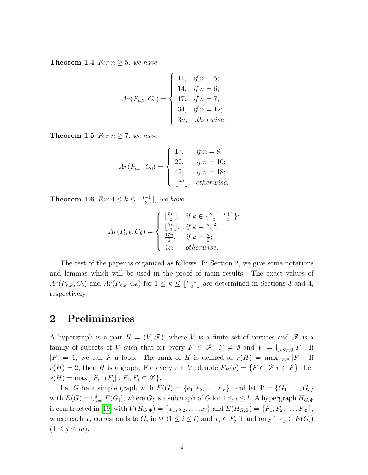**Theorem 1.4** For  $n \geq 5$ , we have

$$
Ar(P_{n,2}, C_6) = \begin{cases} 11, & \text{if } n = 5; \\ 14, & \text{if } n = 6; \\ 17, & \text{if } n = 7; \\ 34, & \text{if } n = 12; \\ 3n, & \text{otherwise.} \end{cases}
$$

<span id="page-3-0"></span>**Theorem 1.5** For  $n \geq 7$ , we have

$$
Ar(P_{n,3}, C_6) = \begin{cases} 17, & \text{if } n = 8; \\ 22, & \text{if } n = 10; \\ 42, & \text{if } n = 18; \\ \lfloor \frac{5n}{2} \rfloor, & \text{otherwise.} \end{cases}
$$

<span id="page-3-1"></span>**Theorem 1.6** For  $4 \leq k \leq \lfloor \frac{n-1}{2} \rfloor$ , we have

$$
Ar(P_{n,k}, C_6) = \begin{cases} \lfloor \frac{5n}{2} \rfloor, & \text{if } k \in \{\frac{n-1}{3}, \frac{n+1}{3}\};\\ \lfloor \frac{7n}{3} \rfloor, & \text{if } k = \frac{n-2}{2};\\ \frac{17n}{6}, & \text{if } k = \frac{n}{6};\\ 3n, & \text{otherwise.} \end{cases}
$$

The rest of the paper is organized as follows. In Section 2, we give some notations and lemmas which will be used in the proof of main results. The exact values of  $Ar(P_{n,k}, C_5)$  and  $Ar(P_{n,k}, C_6)$  for  $1 \leq k \leq \lfloor \frac{n-1}{2} \rfloor$  are determined in Sections 3 and 4, respectively.

### 2 Preliminaries

A hypergraph is a pair  $H = (V, \mathscr{F})$ , where V is a finite set of vertices and  $\mathscr{F}$  is a family of subsets of V such that for every  $F \in \mathscr{F}$ ,  $F \neq \emptyset$  and  $V = \bigcup_{F \in \mathscr{F}} F$ . If  $|F| = 1$ , we call F a loop. The rank of H is defined as  $r(H) = \max_{F \in \mathscr{F}} |F|$ . If  $r(H) = 2$ , then H is a graph. For every  $v \in V$ , denote  $F_H(v) = \{F \in \mathcal{F} | v \in F\}$ . Let  $s(H) = \max\{|F_i \cap F_j| : F_i, F_j \in \mathscr{F}\}.$ 

Let G be a simple graph with  $E(G) = \{e_1, e_2, \ldots, e_m\}$ , and let  $\Psi = \{G_1, \ldots, G_l\}$ with  $E(G) = \bigcup_{i=1}^{l} E(G_i)$ , where  $G_i$  is a subgraph of G for  $1 \leq i \leq l$ . A hypergraph  $H_{G,\Psi}$ is constructed in [\[19\]](#page-24-3) with  $V(H_{G,\Psi}) = \{x_1, x_2, \ldots, x_l\}$  and  $E(H_{G,\Psi}) = \{F_1, F_2, \ldots, F_m\}$ , where each  $x_i$  corresponds to  $G_i$  in  $\Psi$   $(1 \leq i \leq l)$  and  $x_i \in F_j$  if and only if  $e_j \in E(G_i)$  $(1 \leq j \leq m).$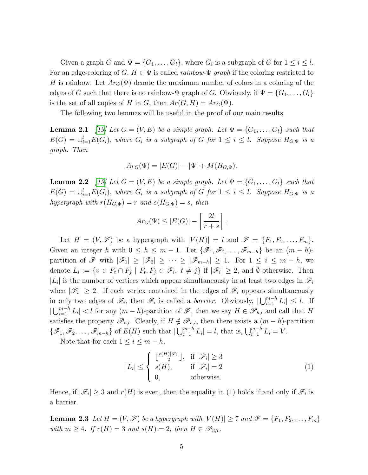Given a graph G and  $\Psi = \{G_1, \ldots, G_l\}$ , where  $G_i$  is a subgraph of G for  $1 \leq i \leq l$ . For an edge-coloring of G,  $H \in \Psi$  is called *rainbow-* $\Psi$  *qraph* if the coloring restricted to H is rainbow. Let  $Ar_G(\Psi)$  denote the maximum number of colors in a coloring of the edges of G such that there is no rainbow- $\Psi$  graph of G. Obviously, if  $\Psi = \{G_1, \ldots, G_l\}$ is the set of all copies of H in G, then  $Ar(G, H) = Ar_G(\Psi)$ .

The following two lemmas will be useful in the proof of our main results.

<span id="page-4-1"></span>**Lemma 2.1** [\[19\]](#page-24-3) Let  $G = (V, E)$  be a simple graph. Let  $\Psi = \{G_1, \ldots, G_l\}$  such that  $E(G) = \bigcup_{i=1}^{l} E(G_i)$ , where  $G_i$  is a subgraph of G for  $1 \leq i \leq l$ . Suppose  $H_{G,\Psi}$  is a graph. Then

$$
Ar_G(\Psi) = |E(G)| - |\Psi| + M(H_{G,\Psi}).
$$

<span id="page-4-0"></span>**Lemma 2.2** [\[19\]](#page-24-3) Let  $G = (V, E)$  be a simple graph. Let  $\Psi = \{G_1, \ldots, G_l\}$  such that  $E(G) = \bigcup_{i=1}^{l} E(G_i)$ , where  $G_i$  is a subgraph of G for  $1 \leq i \leq l$ . Suppose  $H_{G,\Psi}$  is a hypergraph with  $r(H_{G,\Psi}) = r$  and  $s(H_{G,\Psi}) = s$ , then

$$
Ar_G(\Psi) \le |E(G)| - \left\lceil \frac{2l}{r+s} \right\rceil.
$$

Let  $H = (V, \mathscr{F})$  be a hypergraph with  $|V(H)| = l$  and  $\mathscr{F} = \{F_1, F_2, \ldots, F_m\}$ . Given an integer h with  $0 \le h \le m-1$ . Let  $\{\mathscr{F}_1, \mathscr{F}_2, \ldots, \mathscr{F}_{m-h}\}$  be an  $(m-h)$ partition of  $\mathscr{F}$  with  $|\mathscr{F}_1| \geq |\mathscr{F}_2| \geq \cdots \geq |\mathscr{F}_{m-h}| \geq 1$ . For  $1 \leq i \leq m-h$ , we denote  $L_i := \{v \in F_t \cap F_j \mid F_t, F_j \in \mathscr{F}_i, t \neq j\}$  if  $|\mathscr{F}_i| \geq 2$ , and  $\emptyset$  otherwise. Then  $|L_i|$  is the number of vertices which appear simultaneously in at least two edges in  $\mathscr{F}_i$ when  $|\mathscr{F}_i| \geq 2$ . If each vertex contained in the edges of  $\mathscr{F}_i$  appears simultaneously in only two edges of  $\mathscr{F}_i$ , then  $\mathscr{F}_i$  is called a *barrier*. Obviously,  $|\bigcup_{i=1}^{m-h} L_i| \leq l$ . If  $|\bigcup_{i=1}^{m-h} L_i| < l$  for any  $(m-h)$ -partition of  $\mathscr{F}$ , then we say  $H \in \mathscr{P}_{h,l}$  and call that H satisfies the property  $\mathscr{P}_{h,l}$ . Clearly, if  $H \notin \mathscr{P}_{h,l}$ , then there exists a  $(m-h)$ -partition  $\{\mathscr{F}_1,\mathscr{F}_2,\ldots,\mathscr{F}_{m-h}\}\$  of  $E(H)$  such that  $|\bigcup_{i=1}^{m-h} L_i|=l$ , that is,  $\bigcup_{i=1}^{m-h} L_i=V$ .

Note that for each  $1 \leq i \leq m - h$ ,

$$
|L_i| \leq \begin{cases} \lfloor \frac{r(H)|\mathscr{F}_i|}{2} \rfloor, & \text{if } |\mathscr{F}_i| \geq 3\\ s(H), & \text{if } |\mathscr{F}_i| = 2\\ 0, & \text{otherwise.} \end{cases}
$$
 (1)

Hence, if  $|\mathscr{F}_i| \geq 3$  and  $r(H)$  is even, then the equality in (1) holds if and only if  $\mathscr{F}_i$  is a barrier.

<span id="page-4-2"></span>**Lemma 2.3** Let  $H = (V, \mathcal{F})$  be a hypergraph with  $|V(H)| \geq 7$  and  $\mathcal{F} = \{F_1, F_2, \ldots, F_m\}$ with  $m \geq 4$ . If  $r(H) = 3$  and  $s(H) = 2$ , then  $H \in \mathscr{P}_{3,7}$ .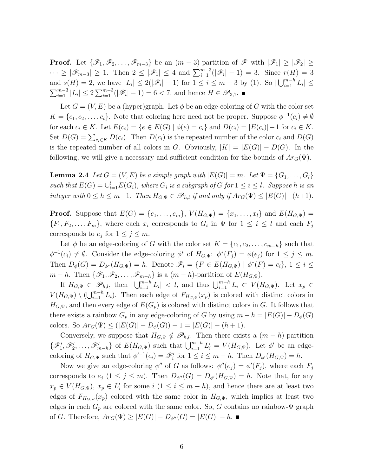**Proof.** Let  $\{\mathscr{F}_1,\mathscr{F}_2,\ldots,\mathscr{F}_{m-3}\}\)$  be an  $(m-3)$ -partition of  $\mathscr{F}$  with  $|\mathscr{F}_1|\geq |\mathscr{F}_2|\geq$  $\cdots \geq |\mathscr{F}_{m-3}| \geq 1$ . Then  $2 \leq |\mathscr{F}_1| \leq 4$  and  $\sum_{i=1}^{m-3}(|\mathscr{F}_i| - 1) = 3$ . Since  $r(H) = 3$ and  $s(H) = 2$ , we have  $|L_i| \leq 2(|\mathscr{F}_i| - 1)$  for  $1 \leq i \leq m - 3$  by (1). So  $|\bigcup_{i=1}^{m-h} L_i| \leq$  $\sum_{i=1}^{m-3} |L_i| \leq 2 \sum_{i=1}^{m-3} (|\mathscr{F}_i| - 1) = 6 < 7$ , and hence  $H \in \mathscr{P}_{3,7}$ .

Let  $G = (V, E)$  be a (hyper)graph. Let  $\phi$  be an edge-coloring of G with the color set  $K = \{c_1, c_2, \ldots, c_t\}$ . Note that coloring here need not be proper. Suppose  $\phi^{-1}(c_i) \neq \emptyset$ for each  $c_i \in K$ . Let  $E(c_i) = \{e \in E(G) \mid \phi(e) = c_i\}$  and  $D(c_i) = |E(c_i)| - 1$  for  $c_i \in K$ . Set  $D(G) = \sum_{c_i \in K} D(c_i)$ . Then  $D(c_i)$  is the repeated number of the color  $c_i$  and  $D(G)$ is the repeated number of all colors in G. Obviously,  $|K| = |E(G)| - D(G)$ . In the following, we will give a necessary and sufficient condition for the bounds of  $Ar_G(\Psi)$ .

<span id="page-5-0"></span>**Lemma 2.4** Let  $G = (V, E)$  be a simple graph with  $|E(G)| = m$ . Let  $\Psi = \{G_1, \ldots, G_l\}$ such that  $E(G) = \bigcup_{i=1}^{l} E(G_i)$ , where  $G_i$  is a subgraph of G for  $1 \leq i \leq l$ . Suppose h is an integer with  $0 \le h \le m-1$ . Then  $H_{G,\Psi} \in \mathscr{P}_{h,l}$  if and only if  $Ar_G(\Psi) \le |E(G)|-(h+1)$ .

**Proof.** Suppose that  $E(G) = \{e_1, \ldots, e_m\}$ ,  $V(H_{G,\Psi}) = \{x_1, \ldots, x_l\}$  and  $E(H_{G,\Psi}) =$  $\{F_1, F_2, \ldots, F_m\}$ , where each  $x_i$  corresponds to  $G_i$  in  $\Psi$  for  $1 \leq i \leq l$  and each  $F_j$ corresponds to  $e_j$  for  $1 \leq j \leq m$ .

Let  $\phi$  be an edge-coloring of G with the color set  $K = \{c_1, c_2, \ldots, c_{m-h}\}\$  such that  $\phi^{-1}(c_i) \neq \emptyset$ . Consider the edge-coloring  $\phi^*$  of  $H_{G,\Psi}$ :  $\phi^*(F_j) = \phi(e_j)$  for  $1 \leq j \leq m$ . Then  $D_{\phi}(G) = D_{\phi^*}(H_{G,\Psi}) = h$ . Denote  $\mathscr{F}_i = \{F \in E(H_{G,\Psi}) \mid \phi^*(F) = c_i\}, 1 \leq i \leq k\}$  $m-h$ . Then  $\{\mathscr{F}_1,\mathscr{F}_2,\ldots,\mathscr{F}_{m-h}\}$  is a  $(m-h)$ -partition of  $E(H_{G,\Psi})$ .

If  $H_{G,\Psi} \in \mathscr{P}_{h,l}$ , then  $|\bigcup_{i=1}^{m-h} L_i| < l$ , and thus  $\bigcup_{i=1}^{m-h} L_i \subset V(H_{G,\Psi})$ . Let  $x_p \in$  $V(H_{G,\Psi}) \setminus (\bigcup_{i=1}^{m-h} L_i)$ . Then each edge of  $F_{H_{G,\Psi}}(x_p)$  is colored with distinct colors in  $H_{G,\Psi}$ , and then every edge of  $E(G_p)$  is colored with distinct colors in G. It follows that there exists a rainbow  $G_p$  in any edge-coloring of G by using  $m - h = |E(G)| - D_{\phi}(G)$ colors. So  $Ar_G(\Psi) \leq (|E(G)| - D_{\phi}(G)) - 1 = |E(G)| - (h + 1).$ 

Conversely, we suppose that  $H_{G,\Psi} \notin \mathscr{P}_{h,l}$ . Then there exists a  $(m - h)$ -partition  $\{\mathscr{F}_1', \mathscr{F}_2', \ldots, \mathscr{F}_{m-h}'\}$  of  $E(H_{G,\Psi})$  such that  $\bigcup_{i=1}^{m-h} L'_i = V(H_{G,\Psi})$ . Let  $\phi'$  be an edgecoloring of  $H_{G,\Psi}$  such that  $\phi'^{-1}(c_i) = \mathscr{F}'_i$  for  $1 \leq i \leq m - h$ . Then  $D_{\phi'}(H_{G,\Psi}) = h$ .

Now we give an edge-coloring  $\phi''$  of G as follows:  $\phi''(e_j) = \phi'(F_j)$ , where each  $F_j$ corresponds to  $e_j$   $(1 \leq j \leq m)$ . Then  $D_{\phi''}(G) = D_{\phi'}(H_{G,\Psi}) = h$ . Note that, for any  $x_p \in V(H_{G,\Psi}), x_p \in L'_i$  for some  $i \ (1 \leq i \leq m-h)$ , and hence there are at least two edges of  $F_{H_{G,\Psi}}(x_p)$  colored with the same color in  $H_{G,\Psi}$ , which implies at least two edges in each  $G_p$  are colored with the same color. So, G contains no rainbow- $\Psi$  graph of G. Therefore,  $Ar_G(\Psi) \geq |E(G)| - D_{\phi''}(G) = |E(G)| - h$ .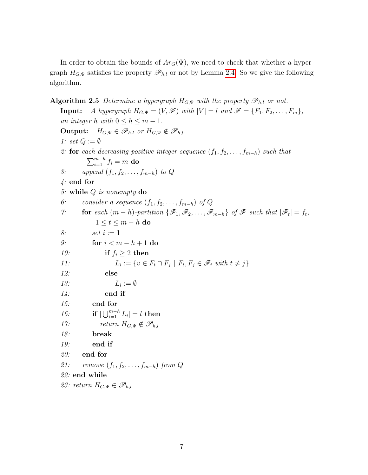In order to obtain the bounds of  $Ar_G(\Psi)$ , we need to check that whether a hypergraph  $H_{G,\Psi}$  satisfies the property  $\mathscr{P}_{h,l}$  or not by Lemma [2.4.](#page-5-0) So we give the following algorithm.

**Algorithm 2.5** Determine a hypergraph  $H_{G,\Psi}$  with the property  $\mathscr{P}_{h,l}$  or not. **Input:** A hypergraph  $H_{G,\Psi} = (V, \mathcal{F})$  with  $|V| = l$  and  $\mathcal{F} = \{F_1, F_2, \ldots, F_m\}$ , an integer h with  $0 \le h \le m - 1$ . **Output:**  $H_{G,\Psi} \in \mathscr{P}_{h,l}$  or  $H_{G,\Psi} \notin \mathscr{P}_{h,l}$ . 1: set  $Q := \emptyset$ 2: for each decreasing positive integer sequence  $(f_1, f_2, \ldots, f_{m-h})$  such that  $\sum_{i=1}^{m-h} f_i = m$  do 3: append  $(f_1, f_2, \ldots, f_{m-h})$  to Q 4: end for 5: while Q is nonempty do 6: consider a sequence  $(f_1, f_2, \ldots, f_{m-h})$  of Q 7: **for** each  $(m - h)$ -partition  $\{\mathscr{F}_1, \mathscr{F}_2, \ldots, \mathscr{F}_{m-h}\}$  of  $\mathscr{F}$  such that  $|\mathscr{F}_t| = f_t$ ,  $1 \leq t \leq m-h$  do 8:  $\text{set } i := 1$ 9: for  $i < m - h + 1$  do 10: if  $f_i \geq 2$  then  $11:$  $:= \{v \in F_t \cap F_j \mid F_t, F_j \in \mathscr{F}_i \text{ with } t \neq j\}$ 12: else  $13:$  $L_i := \emptyset$  $14$ : end if 15: end for 16: **if**  $|\bigcup_{i=1}^{m-h} L_i| = l$  then 17:  $return H_{G,\Psi} \notin \mathscr{P}_{h,l}$ 18: break 19: end if 20: end for 21: remove  $(f_1, f_2, \ldots, f_{m-h})$  from Q 22: end while 23: return  $H_{G,\Psi} \in \mathscr{P}_{h,l}$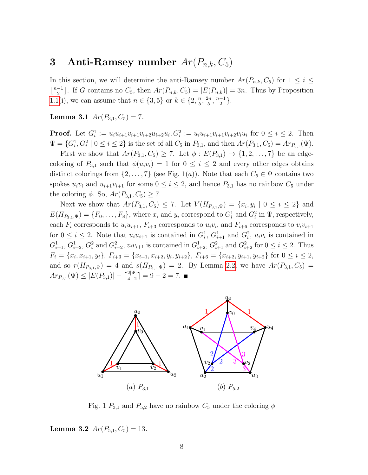# 3 Anti-Ramsey number  $Ar(P_{n,k}, C_5)$

In this section, we will determine the anti-Ramsey number  $Ar(P_{n,k}, C_5)$  for  $1 \leq i \leq$  $\frac{n-1}{2}$  $\frac{-1}{2}$ . If G contains no  $C_5$ , then  $Ar(P_{n,k}, C_5) = |E(P_{n,k})| = 3n$ . Thus by Proposition [1.1\(](#page-1-0)i), we can assume that  $n \in \{3, 5\}$  or  $k \in \{2, \frac{n}{5}\}$  $\frac{n}{5}, \frac{2n}{5}$  $\frac{2n}{5}, \frac{n-1}{2}$  $\frac{-1}{2}$ .

<span id="page-7-0"></span>Lemma 3.1  $Ar(P_{3,1}, C_5) = 7$ .

**Proof.** Let  $G_i^1 := u_i u_{i+1} v_{i+1} v_{i+2} u_{i+2} u_i$ ,  $G_i^2 := u_i u_{i+1} v_{i+1} v_{i+2} v_i u_i$  for  $0 \le i \le 2$ . Then  $\Psi = \{G_i^1, G_i^2 \mid 0 \le i \le 2\}$  is the set of all  $C_5$  in  $P_{3,1}$ , and then  $Ar(P_{3,1}, C_5) = Ar_{P_{3,1}}(\Psi)$ .

First we show that  $Ar(P_{3,1}, C_5) \ge 7$ . Let  $\phi : E(P_{3,1}) \to \{1, 2, ..., 7\}$  be an edgecoloring of  $P_{3,1}$  such that  $\phi(u_i v_i) = 1$  for  $0 \le i \le 2$  and every other edges obtains distinct colorings from  $\{2, \ldots, 7\}$  (see Fig. 1(a)). Note that each  $C_5 \in \Psi$  contains two spokes  $u_i v_i$  and  $u_{i+1}v_{i+1}$  for some  $0 \le i \le 2$ , and hence  $P_{3,1}$  has no rainbow  $C_5$  under the coloring  $\phi$ . So,  $Ar(P_{3,1}, C_5) \geq 7$ .

Next we show that  $Ar(P_{3,1}, C_5) \le 7$ . Let  $V(H_{P_{3,1}, \Psi}) = \{x_i, y_i \mid 0 \le i \le 2\}$  and  $E(H_{P_{3,1},\Psi}) = \{F_0,\ldots,F_8\}$ , where  $x_i$  and  $y_i$  correspond to  $G_i^1$  and  $G_i^2$  in  $\Psi$ , respectively, each  $F_i$  corresponds to  $u_i u_{i+1}$ ,  $F_{i+3}$  corresponds to  $u_i v_i$ , and  $F_{i+6}$  corresponds to  $v_i v_{i+1}$ for  $0 \leq i \leq 2$ . Note that  $u_i u_{i+1}$  is contained in  $G_i^1$ ,  $G_{i+1}^1$  and  $G_i^2$ ,  $u_i v_i$  is contained in  $G_{i+1}^1, G_{i+2}^1, G_i^2$  and  $G_{i+2}^2, v_i v_{i+1}$  is contained in  $G_{i+2}^1, G_{i+1}^2$  and  $G_{i+2}^2$  for  $0 \le i \le 2$ . Thus  $F_i = \{x_i, x_{i+1}, y_i\}, F_{i+3} = \{x_{i+1}, x_{i+2}, y_i, y_{i+2}\}, F_{i+6} = \{x_{i+2}, y_{i+1}, y_{i+2}\}$  for  $0 \le i \le 2$ , and so  $r(H_{P_{3,1},\Psi}) = 4$  and  $s(H_{P_{3,1},\Psi}) = 2$ . By Lemma [2.2,](#page-4-0) we have  $Ar(P_{3,1}, C_5) =$  $Ar_{P_{3,1}}(\Psi) \leq |E(P_{3,1})| - \lceil \frac{2|\Psi|}{4+2} \rceil = 9-2=7.$ 



Fig. 1  $P_{3,1}$  and  $P_{5,2}$  have no rainbow  $C_5$  under the coloring  $\phi$ 

Lemma 3.2  $Ar(P_{5,1}, C_5) = 13$ .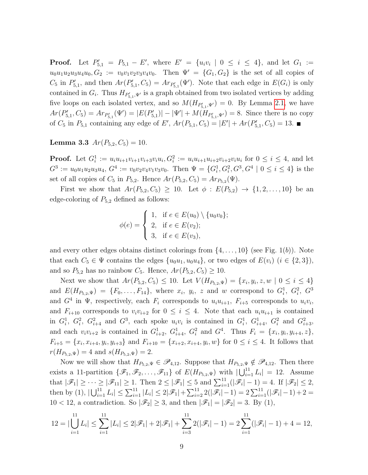**Proof.** Let  $P'_{5,1} = P_{5,1} - E'$ , where  $E' = \{u_i v_i \mid 0 \le i \le 4\}$ , and let  $G_1 :=$  $u_0u_1u_2u_3u_4u_0, G_2 := v_0v_1v_2v_3v_4v_0.$  Then  $\Psi' = \{G_1, G_2\}$  is the set of all copies of  $C_5$  in  $P'_{5,1}$ , and then  $Ar(P'_{5,1}, C_5) = Ar_{P'_{5,1}}(\Psi')$ . Note that each edge in  $E(G_i)$  is only contained in  $G_i$ . Thus  $H_{P'_{5,1}, \Psi'}$  is a graph obtained from two isolated vertices by adding five loops on each isolated vertex, and so  $M(H_{P'_{5,1},\Psi'})=0$ . By Lemma [2.1,](#page-4-1) we have  $Ar(P'_{5,1}, C_5) = Ar_{P'_{5,1}}(\Psi') = |E(P'_{5,1})| - |\Psi'| + M(H_{P'_{5,1}, \Psi'}) = 8$ . Since there is no copy of  $C_5$  in  $P_{5,1}$  containing any edge of E',  $Ar(P_{5,1}, C_5) = |E'| + Ar(P'_{5,1}, C_5) = 13.$ 

**Lemma 3.3**  $Ar(P_{5,2}, C_5) = 10$ .

**Proof.** Let  $G_i^1 := u_i u_{i+1} v_{i+1} v_{i+3} v_i u_i, G_i^2 := u_i u_{i+1} u_{i+2} v_{i+2} v_i u_i$  for  $0 \le i \le 4$ , and let  $G^3 := u_0 u_1 u_2 u_3 u_4$ ,  $G^4 := v_0 v_2 v_4 v_1 v_3 v_0$ . Then  $\Psi = \{G_i^1, G_i^2, G^3, G^4 \mid 0 \le i \le 4\}$  is the set of all copies of  $C_5$  in  $P_{5,2}$ . Hence  $Ar(P_{5,2}, C_5) = Ar_{P_{5,2}}(\Psi)$ .

First we show that  $Ar(P_{5,2}, C_5) \ge 10$ . Let  $\phi : E(P_{5,2}) \to \{1, 2, ..., 10\}$  be an edge-coloring of  $P_{5,2}$  defined as follows:

$$
\phi(e) = \begin{cases} 1, & \text{if } e \in E(u_0) \setminus \{u_0 v_0\}; \\ 2, & \text{if } e \in E(v_2); \\ 3, & \text{if } e \in E(v_3), \end{cases}
$$

and every other edges obtains distinct colorings from  $\{4, \ldots, 10\}$  (see Fig. 1(b)). Note that each  $C_5 \in \Psi$  contains the edges  $\{u_0u_1, u_0u_4\}$ , or two edges of  $E(v_i)$   $(i \in \{2,3\})$ , and so  $P_{5,2}$  has no rainbow  $C_5$ . Hence,  $Ar(P_{5,2}, C_5) \ge 10$ .

Next we show that  $Ar(P_{5,2}, C_5) \leq 10$ . Let  $V(H_{P_{5,2}, \Psi}) = \{x_i, y_i, z, w \mid 0 \leq i \leq 4\}$ and  $E(H_{P_{5,2},\Psi}) = \{F_0,\ldots,F_{14}\},\$  where  $x_i,\ y_i,\ z$  and w correspond to  $G_i^1,\ G_i^2,\ G^3$ and  $G^4$  in  $\Psi$ , respectively, each  $F_i$  corresponds to  $u_iu_{i+1}$ ,  $F_{i+5}$  corresponds to  $u_iv_i$ , and  $F_{i+10}$  corresponds to  $v_i v_{i+2}$  for  $0 \leq i \leq 4$ . Note that each  $u_i u_{i+1}$  is contained in  $G_i^1$ ,  $G_i^2$ ,  $G_{i+4}^2$  and  $G^3$ , each spoke  $u_i v_i$  is contained in  $G_i^1$ ,  $G_{i+4}^1$ ,  $G_i^2$  and  $G_{i+3}^2$ , and each  $v_i v_{i+2}$  is contained in  $G_{i+2}^1$ ,  $G_{i+4}^1$ ,  $G_i^2$  and  $G^4$ . Thus  $F_i = \{x_i, y_i, y_{i+4}, z\}$ ,  $F_{i+5} = \{x_i, x_{i+4}, y_i, y_{i+3}\}\$ and  $F_{i+10} = \{x_{i+2}, x_{i+4}, y_i, w\}\$ for  $0 \le i \le 4$ . It follows that  $r(H_{P_{5,2},\Psi}) = 4$  and  $s(H_{P_{5,2},\Psi}) = 2$ .

Now we will show that  $H_{P_{5,2},\Psi} \in \mathscr{P}_{4,12}$ . Suppose that  $H_{P_{5,2},\Psi} \notin \mathscr{P}_{4,12}$ . Then there exists a 11-partition  $\{\mathscr{F}_1,\mathscr{F}_2,\ldots,\mathscr{F}_{11}\}$  of  $E(H_{P_{5,2},\Psi})$  with  $|\bigcup_{i=1}^{11} L_i| = 12$ . Assume that  $|\mathscr{F}_1| \geq \cdots \geq |\mathscr{F}_{11}| \geq 1$ . Then  $2 \leq |\mathscr{F}_1| \leq 5$  and  $\sum_{i=1}^{11}(|\mathscr{F}_i| - 1) = 4$ . If  $|\mathscr{F}_2| \leq 2$ , then by (1),  $|\bigcup_{i=1}^{11} L_i| \leq \sum_{i=1}^{11} |L_i| \leq 2|\mathscr{F}_1| + \sum_{i=2}^{11} 2(|\mathscr{F}_i| - 1) = 2 \sum_{i=1}^{11} (|\mathscr{F}_i| - 1) + 2 =$  $10 < 12$ , a contradiction. So  $|\mathscr{F}_2| \geq 3$ , and then  $|\mathscr{F}_1| = |\mathscr{F}_2| = 3$ . By (1),

$$
12 = |\bigcup_{i=1}^{11} L_i| \le \sum_{i=1}^{11} |L_i| \le 2|\mathcal{F}_1| + 2|\mathcal{F}_1| + \sum_{i=3}^{11} 2(|\mathcal{F}_i| - 1) = 2\sum_{i=1}^{11} (|\mathcal{F}_i| - 1) + 4 = 12,
$$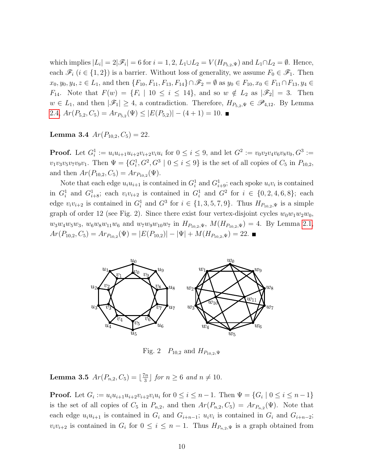which implies  $|L_i| = 2|\mathscr{F}_i| = 6$  for  $i = 1, 2, L_1 \cup L_2 = V(H_{P_{5,2},\Psi})$  and  $L_1 \cap L_2 = \emptyset$ . Hence, each  $\mathscr{F}_i$   $(i \in \{1,2\})$  is a barrier. Without loss of generality, we assume  $F_0 \in \mathscr{F}_1$ . Then  $x_0, y_0, y_4, z \in L_1$ , and then  $\{F_{10}, F_{11}, F_{13}, F_{14}\} \cap \mathscr{F}_2 = \emptyset$  as  $y_0 \in F_{10}, x_0 \in F_{11} \cap F_{13}, y_4 \in$  $F_{14}$ . Note that  $F(w) = \{F_i \mid 10 \leq i \leq 14\}$ , and so  $w \notin L_2$  as  $|\mathscr{F}_2| = 3$ . Then  $w \in L_1$ , and then  $|\mathscr{F}_1| \geq 4$ , a contradiction. Therefore,  $H_{P_{5,2},\Psi} \in \mathscr{P}_{4,12}$ . By Lemma [2.4,](#page-5-0)  $Ar(P_{5,2}, C_5) = Ar_{P_{5,2}}(\Psi) \leq |E(P_{5,2})| - (4+1) = 10.$ 

Lemma 3.4  $Ar(P_{10,2}, C_5) = 22$ .

**Proof.** Let  $G_i^1 := u_i u_{i+1} u_{i+2} v_{i+2} v_i u_i$  for  $0 \le i \le 9$ , and let  $G^2 := v_0 v_2 v_4 v_6 v_8 v_0$ ,  $G^3 :=$  $v_1v_3v_5v_7v_9v_1$ . Then  $\Psi = \{G_i^1, G^2, G^3 \mid 0 \le i \le 9\}$  is the set of all copies of  $C_5$  in  $P_{10,2}$ , and then  $Ar(P_{10,2}, C_5) = Ar_{P_{10,2}}(\Psi)$ .

Note that each edge  $u_i u_{i+1}$  is contained in  $G_i^1$  and  $G_{i+9}^1$ ; each spoke  $u_i v_i$  is contained in  $G_i^1$  and  $G_{i+8}^1$ ; each  $v_i v_{i+2}$  is contained in  $G_i^1$  and  $G^2$  for  $i \in \{0, 2, 4, 6, 8\}$ ; each edge  $v_i v_{i+2}$  is contained in  $G_i^1$  and  $G^3$  for  $i \in \{1,3,5,7,9\}$ . Thus  $H_{P_{10,2},\Psi}$  is a simple graph of order 12 (see Fig. 2). Since there exist four vertex-disjoint cycles  $w_0w_1w_2w_0$ ,  $w_3w_4w_5w_3$ ,  $w_6w_8w_{11}w_6$  and  $w_7w_9w_{10}w_7$  in  $H_{P_{10,2},\Psi}$ ,  $M(H_{P_{10,2},\Psi}) = 4$ . By Lemma [2.1,](#page-4-1)  $Ar(P_{10,2}, C_5) = Ar_{P_{10,2}}(\Psi) = |E(P_{10,2})| - |\Psi| + M(H_{P_{10,2},\Psi}) = 22.$ 



Fig. 2  $P_{10,2}$  and  $H_{P_{10,2},\Psi}$ 

**Lemma 3.5**  $Ar(P_{n,2}, C_5) = \lfloor \frac{7n}{3} \rfloor$  $\frac{\pi n}{3}$  for  $n \geq 6$  and  $n \neq 10$ .

**Proof.** Let  $G_i := u_i u_{i+1} u_{i+2} v_{i+2} v_i u_i$  for  $0 \le i \le n-1$ . Then  $\Psi = \{G_i \mid 0 \le i \le n-1\}$ is the set of all copies of  $C_5$  in  $P_{n,2}$ , and then  $Ar(P_{n,2}, C_5) = Ar_{P_{n,2}}(\Psi)$ . Note that each edge  $u_i u_{i+1}$  is contained in  $G_i$  and  $G_{i+n-1}$ ;  $u_i v_i$  is contained in  $G_i$  and  $G_{i+n-2}$ ;  $v_i v_{i+2}$  is contained in  $G_i$  for  $0 \leq i \leq n-1$ . Thus  $H_{P_{n,2},\Psi}$  is a graph obtained from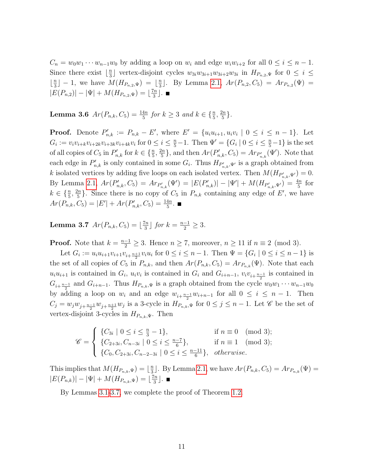$C_n = w_0w_1 \cdots w_{n-1}w_0$  by adding a loop on  $w_i$  and edge  $w_iw_{i+2}$  for all  $0 \leq i \leq n-1$ . Since there exist  $\frac{n}{3}$  $\frac{n}{3}$  vertex-disjoint cycles  $w_{3i}w_{3i+1}w_{3i+2}w_{3i}$  in  $H_{P_{n,2},\Psi}$  for  $0 \leq i \leq$  $\frac{n}{3}$  $\frac{n}{3}$ ] – 1, we have  $M(H_{P_{n,2},\Psi}) = \lfloor \frac{n}{3} \rfloor$  $\frac{n}{3}$ . By Lemma [2.1,](#page-4-1)  $Ar(P_{n,2}, C_5) = Ar_{P_{n,2}}(\Psi) =$  $|E(P_{n,2})| - |\Psi| + M(H_{P_{n,2},\Psi}) = \lfloor \frac{7n}{3} \rfloor$  $\frac{\pi}{3}$ .

**Lemma 3.6**  $Ar(P_{n,k}, C_5) = \frac{14n}{5}$  for  $k \ge 3$  and  $k \in {\frac{n}{5}, \frac{2n}{5}}$  $\frac{2n}{5}\}.$ 

**Proof.** Denote  $P'_{n,k} := P_{n,k} - E'$ , where  $E' = \{u_i u_{i+1}, u_i v_i \mid 0 \le i \le n-1\}$ . Let  $G_i := v_i v_{i+k} v_{i+2k} v_{i+3k} v_{i+4k} v_i$  for  $0 \le i \le \frac{n}{5} - 1$ . Then  $\Psi' = \{ G_i \mid 0 \le i \le \frac{n}{5} - 1 \}$  is the set of all copies of  $C_5$  in  $P'_{n,k}$  for  $k \in \{\frac{n}{5}, \frac{2n}{5}\}$  $\{A_n\}_{n,k}^{2n}$ , and then  $Ar(P'_{n,k}, C_5) = Ar_{P'_{n,k}}(\Psi')$ . Note that each edge in  $P'_{n,k}$  is only contained in some  $G_i$ . Thus  $H_{P'_{n,k},\Psi'}$  is a graph obtained from k isolated vertices by adding five loops on each isolated vertex. Then  $M(H_{P'_{n,k},\Psi'})=0$ . By Lemma [2.1,](#page-4-1)  $Ar(P'_{n,k}, C_5) = Ar_{P'_{n,k}}(\Psi') = |E(P'_{n,k})| - |\Psi'| + M(H_{P'_{n,k},\Psi'}) = \frac{4n}{5}$  for  $k \in \{\frac{n}{5}, \frac{2n}{5}$  $\frac{2n}{5}$ . Since there is no copy of  $C_5$  in  $P_{n,k}$  containing any edge of E', we have  $Ar(P_{n,k}, C_5) = |E'| + Ar(P'_{n,k}, C_5) = \frac{14n}{5}.$ 

<span id="page-10-0"></span>**Lemma 3.7**  $Ar(P_{n,k}, C_5) = \lfloor \frac{7n}{3} \rfloor$  $\frac{\pi n}{3}$  for  $k = \frac{n-1}{2} \geq 3$ .

**Proof.** Note that  $k = \frac{n-1}{2} \ge 3$ . Hence  $n \ge 7$ , moreover,  $n \ge 11$  if  $n \equiv 2 \pmod{3}$ .

Let  $G_i := u_i u_{i+1} v_{i+1} v_{i+\frac{n+1}{2}} v_i u_i$  for  $0 \le i \le n-1$ . Then  $\Psi = \{G_i \mid 0 \le i \le n-1\}$  is the set of all copies of  $C_5$  in  $P_{n,k}$ , and then  $Ar(P_{n,k}, C_5) = Ar_{P_{n,k}}(\Psi)$ . Note that each  $u_i u_{i+1}$  is contained in  $G_i$ ,  $u_i v_i$  is contained in  $G_i$  and  $G_{i+n-1}$ ,  $v_i v_{i+\frac{n-1}{2}}$  is contained in  $G_{i+\frac{n-1}{2}}$  and  $G_{i+n-1}$ . Thus  $H_{P_{n,k},\Psi}$  is a graph obtained from the cycle  $w_0w_1\cdots w_{n-1}w_0$ by adding a loop on  $w_i$  and an edge  $w_{i+\frac{n-1}{2}}w_{i+n-1}$  for all  $0 \leq i \leq n-1$ . Then  $C_j = w_j w_{j+\frac{n-1}{2}} w_{j+\frac{n+1}{2}} w_j$  is a 3-cycle in  $H_{P_{n,k},\Psi}$  for  $0 \le j \le n-1$ . Let  $\mathscr C$  be the set of vertex-disjoint 3-cycles in  $H_{P_{n,k},\Psi}$ . Then

$$
\mathscr{C} = \begin{cases} \{C_{3i} \mid 0 \le i \le \frac{n}{3} - 1\}, & \text{if } n \equiv 0 \pmod{3};\\ \{C_{2+3i}, C_{n-3i} \mid 0 \le i \le \frac{n-7}{6}\}, & \text{if } n \equiv 1 \pmod{3};\\ \{C_0, C_{2+3i}, C_{n-2-3i} \mid 0 \le i \le \frac{n-11}{6}\}, & \text{otherwise.} \end{cases}
$$

This implies that  $M(H_{P_{n,k},\Psi}) = \lfloor \frac{n}{3} \rfloor$  $\frac{n}{3}$ . By Lemma [2.1,](#page-4-1) we have  $Ar(P_{n,k}, C_5) = Ar_{P_{n,k}}(\Psi) =$  $|E(P_{n,k})| - |\Psi| + M(H_{P_{n,k},\Psi}) = \lfloor \frac{7n}{3} \rfloor$  $\frac{\pi}{3}$ .

By Lemmas [3.1-](#page-7-0)[3.7,](#page-10-0) we complete the proof of Theorem [1.2.](#page-2-0)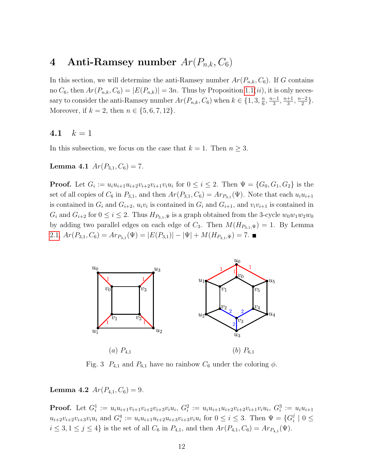# 4 Anti-Ramsey number  $Ar(P_{n,k}, C_6)$

In this section, we will determine the anti-Ramsey number  $Ar(P_{n,k}, C_6)$ . If G contains no  $C_6$ , then  $Ar(P_{n,k}, C_6) = |E(P_{n,k})| = 3n$ . Thus by Proposition [1.1\(](#page-1-0)*ii*), it is only necessary to consider the anti-Ramsey number  $Ar(P_{n,k}, C_6)$  when  $k \in \{1, 3, \frac{n}{6}\}$  $\frac{n}{6}, \frac{n-1}{3}$  $\frac{-1}{3}, \frac{n+1}{3}$  $\frac{+1}{3}, \frac{n-2}{2}$  $\frac{-2}{2}$ . Moreover, if  $k = 2$ , then  $n \in \{5, 6, 7, 12\}$ .

#### 4.1  $k = 1$

<span id="page-11-0"></span>In this subsection, we focus on the case that  $k = 1$ . Then  $n \geq 3$ .

Lemma 4.1  $Ar(P_{3.1}, C_6) = 7.$ 

**Proof.** Let  $G_i := u_i u_{i+1} u_{i+2} v_{i+2} v_{i+1} u_i$  for  $0 \le i \le 2$ . Then  $\Psi = \{G_0, G_1, G_2\}$  is the set of all copies of  $C_6$  in  $P_{3,1}$ , and then  $Ar(P_{3,1}, C_6) = Ar_{P_{3,1}}(\Psi)$ . Note that each  $u_i u_{i+1}$ is contained in  $G_i$  and  $G_{i+2}$ ,  $u_i v_i$  is contained in  $G_i$  and  $G_{i+1}$ , and  $v_i v_{i+1}$  is contained in  $G_i$  and  $G_{i+2}$  for  $0 \leq i \leq 2$ . Thus  $H_{P_{3,1},\Psi}$  is a graph obtained from the 3-cycle  $w_0w_1w_2w_0$ by adding two parallel edges on each edge of  $C_3$ . Then  $M(H_{P_{3,1},\Psi}) = 1$ . By Lemma [2.1,](#page-4-1)  $Ar(P_{3,1}, C_6) = Ar_{P_{3,1}}(\Psi) = |E(P_{3,1})| - |\Psi| + M(H_{P_{3,1}, \Psi}) = 7.$ 



Fig. 3  $P_{4,1}$  and  $P_{6,1}$  have no rainbow  $C_6$  under the coloring  $\phi$ .

Lemma 4.2  $Ar(P_{4,1}, C_6) = 9$ .

**Proof.** Let  $G_i^1 := u_i u_{i+1} v_{i+1} v_{i+2} v_{i+3} v_i u_i$ ,  $G_i^2 := u_i u_{i+1} u_{i+2} v_{i+2} v_{i+1} v_i u_i$ ,  $G_i^3 := u_i u_{i+1}$  $u_{i+2}v_{i+2}v_{i+3}v_iu_i$  and  $G_i^4 := u_iu_{i+1}u_{i+2}u_{i+3}v_{i+3}v_iu_i$  for  $0 \le i \le 3$ . Then  $\Psi = \{G_i^j\}$  $\frac{j}{i} \mid 0 \leq$  $i \leq 3, 1 \leq j \leq 4$  is the set of all  $C_6$  in  $P_{4,1}$ , and then  $Ar(P_{4,1}, C_6) = Ar_{P_{4,1}}(\Psi)$ .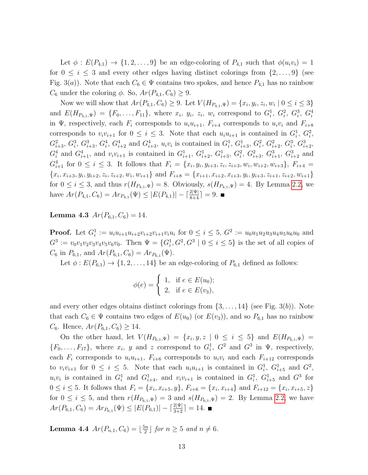Let  $\phi: E(P_{4,1}) \rightarrow \{1, 2, \ldots, 9\}$  be an edge-coloring of  $P_{4,1}$  such that  $\phi(u_i v_i) = 1$ for  $0 \leq i \leq 3$  and every other edges having distinct colorings from  $\{2,\ldots,9\}$  (see Fig. 3(a)). Note that each  $C_6 \in \Psi$  contains two spokes, and hence  $P_{4,1}$  has no rainbow  $C_6$  under the coloring  $\phi$ . So,  $Ar(P_{4,1}, C_6) \geq 9$ .

Now we will show that  $Ar(P_{4,1}, C_6) \geq 9$ . Let  $V(H_{P_{4,1},\Psi}) = \{x_i, y_i, z_i, w_i \mid 0 \leq i \leq 3\}$ and  $E(H_{P_{4,1},\Psi}) = \{F_0,\ldots,F_{11}\},\$  where  $x_i,\ y_i,\ z_i,\ w_i\$  correspond to  $G_i^1,\ G_i^2,\ G_i^3,\ G_i^4$ in Ψ, respectively, each  $F_i$  corresponds to  $u_i u_{i+1}$ ,  $F_{i+4}$  corresponds to  $u_i v_i$  and  $F_{i+8}$ corresponds to  $v_i v_{i+1}$  for  $0 \leq i \leq 3$ . Note that each  $u_i u_{i+1}$  is contained in  $G_i^1, G_i^2$ ,  $G_{i+3}^2, G_i^3, G_{i+3}^3, G_i^4, G_{i+2}^4$  and  $G_{i+3}^4, u_i v_i$  is contained in  $G_i^1, G_{i+3}^1, G_i^2, G_{i+2}^2, G_i^3, G_{i+2}^3$  $G_i^4$  and  $G_{i+1}^4$ , and  $v_i v_{i+1}$  is contained in  $G_{i+1}^1$ ,  $G_{i+2}^1$ ,  $G_{i+3}^1$ ,  $G_i^2$ ,  $G_{i+3}^2$ ,  $G_{i+1}^3$ ,  $G_{i+2}^3$  and  $G_{i+1}^4$  for  $0 \le i \le 3$ . It follows that  $F_i = \{x_i, y_i, y_{i+3}, z_i, z_{i+3}, w_i, w_{i+2}, w_{i+3}\}, F_{i+4} =$  ${x_i, x_{i+3}, y_i, y_{i+2}, z_i, z_{i+2}, w_i, w_{i+1}}$  and  $F_{i+8} = {x_{i+1}, x_{i+2}, x_{i+3}, y_i, y_{i+3}, z_{i+1}, z_{i+2}, w_{i+1}}$ for  $0 \leq i \leq 3$ , and thus  $r(H_{P_{4,1},\Psi}) = 8$ . Obviously,  $s(H_{P_{4,1},\Psi}) = 4$ . By Lemma [2.2,](#page-4-0) we have  $Ar(P_{4,1}, C_6) = Ar_{P_{4,1}}(\Psi) \leq |E(P_{4,1})| - \lceil \frac{2|\Psi|}{8+4} \rceil = 9.$ 

Lemma 4.3  $Ar(P_{6,1}, C_6) = 14$ .

**Proof.** Let  $G_i^1 := u_i u_{i+1} u_{i+2} v_{i+2} v_{i+1} v_i u_i$  for  $0 \le i \le 5$ ,  $G^2 := u_0 u_1 u_2 u_3 u_4 u_5 u_6 u_0$  and  $G^3 := v_0v_1v_2v_3v_4v_5v_6v_0$ . Then  $\Psi = \{G_i^1, G^2, G^3 \mid 0 \le i \le 5\}$  is the set of all copies of  $C_6$  in  $P_{6,1}$ , and  $Ar(P_{6,1}, C_6) = Ar_{P_{6,1}}(\Psi)$ .

Let  $\phi: E(P_{6,1}) \rightarrow \{1, 2, ..., 14\}$  be an edge-coloring of  $P_{6,1}$  defined as follows:

$$
\phi(e) = \begin{cases} 1, & \text{if } e \in E(u_0); \\ 2, & \text{if } e \in E(v_3), \end{cases}
$$

and every other edges obtains distinct colorings from  $\{3, \ldots, 14\}$  (see Fig. 3(b)). Note that each  $C_6 \in \Psi$  contains two edges of  $E(u_0)$  (or  $E(v_3)$ ), and so  $P_{6,1}$  has no rainbow  $C_6$ . Hence,  $Ar(P_{6,1}, C_6) \geq 14$ .

On the other hand, let  $V(H_{P_{6,1},\Psi}) = \{x_i,y,z \mid 0 \leq i \leq 5\}$  and  $E(H_{P_{6,1},\Psi}) =$  $\{F_0, \ldots, F_{17}\},\$  where  $x_i, y$  and z correspond to  $G_i^1, G^2$  and  $G^3$  in  $\Psi$ , respectively, each  $F_i$  corresponds to  $u_i u_{i+1}$ ,  $F_{i+6}$  corresponds to  $u_i v_i$  and each  $F_{i+12}$  corresponds to  $v_i v_{i+1}$  for  $0 \leq i \leq 5$ . Note that each  $u_i u_{i+1}$  is contained in  $G_i^1$ ,  $G_{i+5}^1$  and  $G^2$ ,  $u_i v_i$  is contained in  $G_i^1$  and  $G_{i+4}^1$ , and  $v_i v_{i+1}$  is contained in  $G_i^1$ ,  $G_{i+5}^1$  and  $G^3$  for  $0 \leq i \leq 5$ . It follows that  $F_i = \{x_i, x_{i+5}, y\}$ ,  $F_{i+6} = \{x_i, x_{i+4}\}$  and  $F_{i+12} = \{x_i, x_{i+5}, z\}$ for  $0 \le i \le 5$ , and then  $r(H_{P_{6,1},\Psi}) = 3$  and  $s(H_{P_{6,1},\Psi}) = 2$ . By Lemma [2.2,](#page-4-0) we have  $Ar(P_{6,1}, C_6) = Ar_{P_{6,1}}(\Psi) \le |E(P_{6,1})| - \lceil \frac{2|\Psi|}{3+2} \rceil = 14.$ 

<span id="page-12-0"></span>**Lemma 4.4**  $Ar(P_{n,1}, C_6) = \lfloor \frac{5n}{2} \rfloor$  $\frac{\sin n}{2}$  for  $n \geq 5$  and  $n \neq 6$ .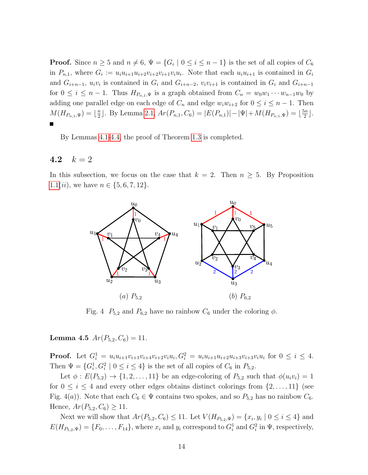**Proof.** Since  $n \geq 5$  and  $n \neq 6$ ,  $\Psi = \{G_i \mid 0 \leq i \leq n-1\}$  is the set of all copies of  $C_6$ in  $P_{n,1}$ , where  $G_i := u_i u_{i+1} u_{i+2} v_{i+2} v_{i+1} u_i$ . Note that each  $u_i u_{i+1}$  is contained in  $G_i$ and  $G_{i+n-1}$ ,  $u_i v_i$  is contained in  $G_i$  and  $G_{i+n-2}$ ,  $v_i v_{i+1}$  is contained in  $G_i$  and  $G_{i+n-1}$ for  $0 \leq i \leq n-1$ . Thus  $H_{P_{n,1},\Psi}$  is a graph obtained from  $C_n = w_0w_1 \cdots w_{n-1}w_0$  by adding one parallel edge on each edge of  $C_n$  and edge  $w_iw_{i+2}$  for  $0 \leq i \leq n-1$ . Then  $M(H_{P_{n,1},\Psi}) = \lfloor \frac{n}{2} \rfloor$  $\frac{n}{2}$ . By Lemma [2.1,](#page-4-1)  $Ar(P_{n,1}, C_6) = |E(P_{n,1})| - |\Psi| + M(H_{P_{n,1}, \Psi}) = \lfloor \frac{5n}{2} \rfloor$  $\frac{\overline{2}}{2}$ .

By Lemmas [4.1-](#page-11-0)[4.4,](#page-12-0) the proof of Theorem [1.3](#page-2-1) is completed.

### 4.2  $k = 2$

In this subsection, we focus on the case that  $k = 2$ . Then  $n \geq 5$ . By Proposition [1.1\(](#page-1-0)*ii*), we have  $n \in \{5, 6, 7, 12\}$ .



Fig. 4  $P_{5,2}$  and  $P_{6,2}$  have no rainbow  $C_6$  under the coloring  $\phi$ .

<span id="page-13-0"></span>Lemma 4.5  $Ar(P_{5,2}, C_6) = 11$ .

**Proof.** Let  $G_i^1 = u_i u_{i+1} v_{i+1} v_{i+2} v_i u_i, G_i^2 = u_i u_{i+1} u_{i+2} u_{i+3} v_{i+3} v_i u_i$  for  $0 \le i \le 4$ . Then  $\Psi = \{G_i^1, G_i^2 \mid 0 \le i \le 4\}$  is the set of all copies of  $C_6$  in  $P_{5,2}$ .

Let  $\phi: E(P_{5,2}) \rightarrow \{1, 2, \ldots, 11\}$  be an edge-coloring of  $P_{5,2}$  such that  $\phi(u_i v_i) = 1$ for  $0 \leq i \leq 4$  and every other edges obtains distinct colorings from  $\{2,\ldots,11\}$  (see Fig. 4(a)). Note that each  $C_6 \in \Psi$  contains two spokes, and so  $P_{5,2}$  has no rainbow  $C_6$ . Hence,  $Ar(P_{5,2}, C_6) \geq 11$ .

Next we will show that  $Ar(P_{5,2}, C_6) \le 11$ . Let  $V(H_{P_{5,2}, \Psi}) = \{x_i, y_i \mid 0 \le i \le 4\}$  and  $E(H_{P_{5,2},\Psi}) = \{F_0,\ldots,F_{14}\},\$  where  $x_i$  and  $y_i$  correspond to  $G_i^1$  and  $G_i^2$  in  $\Psi$ , respectively,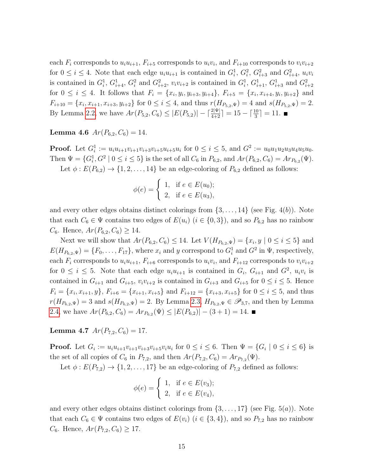each  $F_i$  corresponds to  $u_i u_{i+1}$ ,  $F_{i+5}$  corresponds to  $u_i v_i$ , and  $F_{i+10}$  corresponds to  $v_i v_{i+2}$ for  $0 \leq i \leq 4$ . Note that each edge  $u_i u_{i+1}$  is contained in  $G_i^1, G_i^2, G_{i+3}^2$  and  $G_{i+4}^2, u_i v_i$ is contained in  $G_i^1$ ,  $G_{i+4}^1$ ,  $G_i^2$  and  $G_{i+2}^2$ ,  $v_i v_{i+2}$  is contained in  $G_i^1$ ,  $G_{i+1}^1$ ,  $G_{i+3}^1$  and  $G_{i+2}^2$ for  $0 \leq i \leq 4$ . It follows that  $F_i = \{x_i, y_i, y_{i+3}, y_{i+4}\}, F_{i+5} = \{x_i, x_{i+4}, y_i, y_{i+2}\}$  and  $F_{i+10} = \{x_i, x_{i+1}, x_{i+3}, y_{i+2}\}$  for  $0 \le i \le 4$ , and thus  $r(H_{P_{5,2},\Psi}) = 4$  and  $s(H_{P_{5,2},\Psi}) = 2$ . By Lemma [2.2,](#page-4-0) we have  $Ar(P_{5,2}, C_6) \leq |E(P_{5,2})| - \lceil \frac{2|\Psi|}{4+2} \rceil = 15 - \lceil \frac{10}{3} \rceil = 11.$ 

Lemma 4.6  $Ar(P_{6,2}, C_6) = 14$ .

**Proof.** Let  $G_i^1 := u_i u_{i+1} v_{i+1} v_{i+3} v_{i+5} u_{i+5} u_i$  for  $0 \le i \le 5$ , and  $G^2 := u_0 u_1 u_2 u_3 u_4 u_5 u_0$ . Then  $\Psi = \{G_i^1, G^2 \mid 0 \le i \le 5\}$  is the set of all  $C_6$  in  $P_{6,2}$ , and  $Ar(P_{6,2}, C_6) = Ar_{P_{6,2}}(\Psi)$ . Let  $\phi: E(P_{6,2}) \rightarrow \{1, 2, ..., 14\}$  be an edge-coloring of  $P_{6,2}$  defined as follows:

$$
\phi(e) = \begin{cases} 1, & \text{if } e \in E(u_0); \\ 2, & \text{if } e \in E(u_3), \end{cases}
$$

and every other edges obtains distinct colorings from  $\{3, \ldots, 14\}$  (see Fig. 4(b)). Note that each  $C_6 \in \Psi$  contains two edges of  $E(u_i)$   $(i \in \{0,3\})$ , and so  $P_{6,2}$  has no rainbow  $C_6$ . Hence,  $Ar(P_{6,2}, C_6) \geq 14$ .

Next we will show that  $Ar(P_{6,2}, C_6) \leq 14$ . Let  $V(H_{P_{6,2}, \Psi}) = \{x_i, y \mid 0 \leq i \leq 5\}$  and  $E(H_{P_{6,2},\Psi}) = \{F_0,\ldots,F_{17}\},\$  where  $x_i$  and  $y$  correspond to  $G_i^1$  and  $G^2$  in  $\Psi$ , respectively, each  $F_i$  corresponds to  $u_i u_{i+1}$ ,  $F_{i+6}$  corresponds to  $u_i v_i$ , and  $F_{i+12}$  corresponds to  $v_i v_{i+2}$ for  $0 \leq i \leq 5$ . Note that each edge  $u_i u_{i+1}$  is contained in  $G_i$ ,  $G_{i+1}$  and  $G^2$ ,  $u_i v_i$  is contained in  $G_{i+1}$  and  $G_{i+5}$ ,  $v_i v_{i+2}$  is contained in  $G_{i+3}$  and  $G_{i+5}$  for  $0 \le i \le 5$ . Hence  $F_i = \{x_i, x_{i+1}, y\}, F_{i+6} = \{x_{i+1}, x_{i+5}\}$  and  $F_{i+12} = \{x_{i+3}, x_{i+5}\}$  for  $0 \le i \le 5$ , and thus  $r(H_{P_{6,2},\Psi}) = 3$  and  $s(H_{P_{6,2},\Psi}) = 2$ . By Lemma [2.3,](#page-4-2)  $H_{P_{6,2},\Psi} \in \mathscr{P}_{3,7}$ , and then by Lemma [2.4,](#page-5-0) we have  $Ar(P_{6,2}, C_6) = Ar_{P_{6,2}}(\Psi) \leq |E(P_{6,2})| - (3+1) = 14.$ 

Lemma 4.7  $Ar(P_{7,2}, C_6) = 17$ .

**Proof.** Let  $G_i := u_i u_{i+1} v_{i+1} v_{i+3} v_{i+5} v_i u_i$  for  $0 \le i \le 6$ . Then  $\Psi = \{G_i \mid 0 \le i \le 6\}$  is the set of all copies of  $C_6$  in  $P_{7,2}$ , and then  $Ar(P_{7,2}, C_6) = Ar_{P_{7,2}}(\Psi)$ .

Let  $\phi: E(P_{7,2}) \rightarrow \{1, 2, \ldots, 17\}$  be an edge-coloring of  $P_{7,2}$  defined as follows:

$$
\phi(e) = \begin{cases} 1, & \text{if } e \in E(v_3); \\ 2, & \text{if } e \in E(v_4), \end{cases}
$$

and every other edges obtains distinct colorings from  $\{3, \ldots, 17\}$  (see Fig. 5(*a*)). Note that each  $C_6 \in \Psi$  contains two edges of  $E(v_i)$   $(i \in \{3,4\})$ , and so  $P_{7,2}$  has no rainbow  $C_6$ . Hence,  $Ar(P_{7,2}, C_6) \geq 17$ .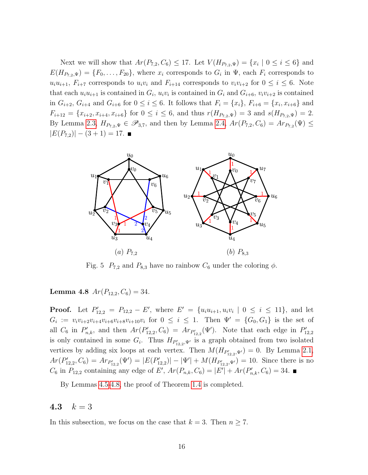Next we will show that  $Ar(P_{7,2}, C_6) \le 17$ . Let  $V(H_{P_{7,2}, \Psi}) = \{x_i \mid 0 \le i \le 6\}$  and  $E(H_{P_{7,2},\Psi}) = \{F_0,\ldots,F_{20}\},$  where  $x_i$  corresponds to  $G_i$  in  $\Psi$ , each  $F_i$  corresponds to  $u_iu_{i+1}, F_{i+7}$  corresponds to  $u_iv_i$  and  $F_{i+14}$  corresponds to  $v_iv_{i+2}$  for  $0 \le i \le 6$ . Note that each  $u_i u_{i+1}$  is contained in  $G_i$ ,  $u_i v_i$  is contained in  $G_i$  and  $G_{i+6}$ ,  $v_i v_{i+2}$  is contained in  $G_{i+2}, G_{i+4}$  and  $G_{i+6}$  for  $0 \leq i \leq 6$ . It follows that  $F_i = \{x_i\}, F_{i+6} = \{x_i, x_{i+6}\}$  and  $F_{i+12} = \{x_{i+2}, x_{i+4}, x_{i+6}\}$  for  $0 \le i \le 6$ , and thus  $r(H_{P_{7,2},\Psi}) = 3$  and  $s(H_{P_{7,2},\Psi}) = 2$ . By Lemma [2.3,](#page-4-2)  $H_{P_{7,2},\Psi} \in \mathscr{P}_{3,7}$ , and then by Lemma [2.4,](#page-5-0)  $Ar(P_{7,2}, C_6) = Ar_{P_{7,2}}(\Psi) \le$  $|E(P_{7,2})| - (3+1) = 17.$ 



Fig. 5  $P_{7,2}$  and  $P_{8,3}$  have no rainbow  $C_6$  under the coloring  $\phi$ .

<span id="page-15-0"></span>Lemma 4.8  $Ar(P_{12,2}, C_6) = 34$ .

**Proof.** Let  $P'_{12,2} = P_{12,2} - E'$ , where  $E' = \{u_i u_{i+1}, u_i v_i \mid 0 \le i \le 11\}$ , and let  $G_i := v_i v_{i+2} v_{i+4} v_{i+6} v_{i+8} v_{i+10} v_i$  for  $0 \le i \le 1$ . Then  $\Psi' = \{G_0, G_1\}$  is the set of all  $C_6$  in  $P'_{n,k}$ , and then  $Ar(P'_{12,2}, C_6) = Ar_{P'_{12,2}}(\Psi')$ . Note that each edge in  $P'_{12,2}$ is only contained in some  $G_i$ . Thus  $H_{P'_{12,2},\Psi'}$  is a graph obtained from two isolated vertices by adding six loops at each vertex. Then  $M(H_{P'_{12,2},\Psi'})=0$ . By Lemma [2.1,](#page-4-1)  $Ar(P'_{12,2}, C_6) = Ar_{P'_{12,2}}(\Psi') = |E(P'_{12,2})| - |\Psi'| + M(H_{P'_{12,2},\Psi'}) = 10.$  Since there is no  $C_6$  in  $P_{12,2}$  containing any edge of E',  $Ar(P_{n,k}, C_6) = |E'| + Ar(P'_{n,k}, C_6) = 34.$ 

By Lemmas [4.5-](#page-13-0)[4.8,](#page-15-0) the proof of Theorem [1.4](#page-2-2) is completed.

### 4.3  $k = 3$

<span id="page-15-1"></span>In this subsection, we focus on the case that  $k = 3$ . Then  $n \geq 7$ .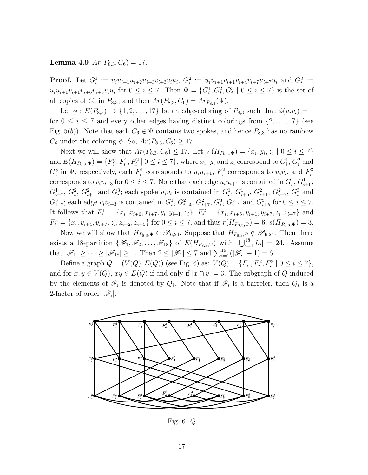Lemma 4.9  $Ar(P_{8,3}, C_6) = 17$ .

**Proof.** Let  $G_i^1 := u_i u_{i+1} u_{i+2} u_{i+3} v_{i+3} u_i$ ,  $G_i^2 := u_i u_{i+1} u_{i+1} u_{i+4} u_{i+7} u_{i+7} u_i$  and  $G_i^3 :=$  $u_i u_{i+1} v_{i+1} v_{i+6} v_{i+3} v_i u_i$  for  $0 \le i \le 7$ . Then  $\Psi = \{G_i^1, G_i^2, G_i^3 \mid 0 \le i \le 7\}$  is the set of all copies of  $C_6$  in  $P_{8,3}$ , and then  $Ar(P_{8,3}, C_6) = Ar_{P_{8,3}}(\Psi)$ .

Let  $\phi: E(P_{8,3}) \rightarrow \{1, 2, \ldots, 17\}$  be an edge-coloring of  $P_{8,3}$  such that  $\phi(u_i v_i) = 1$ for  $0 \leq i \leq 7$  and every other edges having distinct colorings from  $\{2, \ldots, 17\}$  (see Fig. 5(b)). Note that each  $C_6 \in \Psi$  contains two spokes, and hence  $P_{8,3}$  has no rainbow  $C_6$  under the coloring  $\phi$ . So,  $Ar(P_{8,3}, C_6) \geq 17$ .

Next we will show that  $Ar(P_{8,3}, C_6) \leq 17$ . Let  $V(H_{P_{8,3}, \Psi}) = \{x_i, y_i, z_i \mid 0 \leq i \leq 7\}$ and  $E(H_{P_{8,3},\Psi}) = \{F_i^0, F_i^1, F_i^2 \mid 0 \le i \le 7\}$ , where  $x_i, y_i$  and  $z_i$  correspond to  $G_i^1, G_i^2$  and  $G_i^3$  in  $\Psi$ , respectively, each  $F_i^1$  corresponds to  $u_i u_{i+1}$ ,  $F_i^2$  corresponds to  $u_i v_i$ , and  $F_i^3$ corresponds to  $v_i v_{i+3}$  for  $0 \le i \le 7$ . Note that each edge  $u_i u_{i+1}$  is contained in  $G_i^1, G_{i+6}^1$ ,  $G_{i+7}^1, G_i^2, G_{i+1}^2$  and  $G_i^3$ ; each spoke  $u_i v_i$  is contained in  $G_i^1, G_{i+5}^1, G_{i+1}^2, G_{i+7}^2, G_i^3$  and  $G_{i+7}^3$ ; each edge  $v_i v_{i+3}$  is contained in  $G_i^1, G_{i+4}^2, G_{i+7}^2, G_i^3, G_{i+2}^3$  and  $G_{i+5}^3$  for  $0 \le i \le 7$ . It follows that  $F_i^1 = \{x_i, x_{i+6}, x_{i+7}, y_i, y_{i+1}, z_i\}, F_i^2 = \{x_i, x_{i+5}, y_{i+1}, y_{i+7}, z_i, z_{i+7}\}$  and  $F_i^3 = \{x_i, y_{i+4}, y_{i+7}, z_i, z_{i+2}, z_{i+5}\}\$ for  $0 \le i \le 7$ , and thus  $r(H_{P_{8,3},\Psi}) = 6$ ,  $s(H_{P_{8,3},\Psi}) = 3$ .

Now we will show that  $H_{P_{8,3},\Psi} \in \mathscr{P}_{6,24}$ . Suppose that  $H_{P_{8,3},\Psi} \notin \mathscr{P}_{6,24}$ . Then there exists a 18-partition  $\{\mathscr{F}_1,\mathscr{F}_2,\ldots,\mathscr{F}_{18}\}\$  of  $E(H_{P_{8,3},\Psi})$  with  $|\bigcup_{i=1}^{18}L_i|=24$ . Assume that  $|\mathscr{F}_1| \geq \cdots \geq |\mathscr{F}_{18}| \geq 1$ . Then  $2 \leq |\mathscr{F}_1| \leq 7$  and  $\sum_{i=1}^{18}(|\mathscr{F}_i| - 1) = 6$ .

Define a graph  $Q = (V(Q), E(Q))$  (see Fig. 6) as:  $V(Q) = \{F_i^1, F_i^2, F_i^3 \mid 0 \le i \le 7\},$ and for  $x, y \in V(Q)$ ,  $xy \in E(Q)$  if and only if  $|x \cap y| = 3$ . The subgraph of Q induced by the elements of  $\mathscr{F}_i$  is denoted by  $Q_i$ . Note that if  $\mathscr{F}_i$  is a barreier, then  $Q_i$  is a 2-factor of order  $|\mathscr{F}_i|$ .



Fig. 6 Q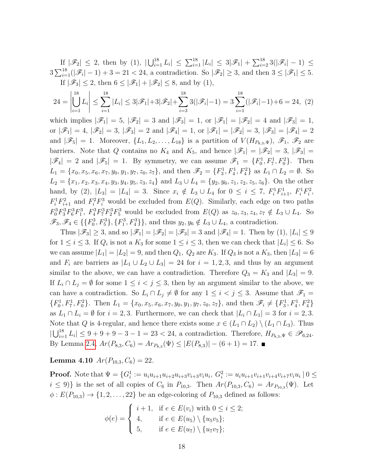If  $|\mathscr{F}_2| \leq 2$ , then by (1),  $|\bigcup_{i=1}^{18} L_i| \leq \sum_{i=1}^{18} |L_i| \leq 3|\mathscr{F}_1| + \sum_{i=2}^{18} 3(|\mathscr{F}_i| - 1) \leq$  $3\sum_{i=1}^{18}(|\mathscr{F}_i| - 1) + 3 = 21 < 24$ , a contradiction. So  $|\mathscr{F}_2| \geq 3$ , and then  $3 \leq |\mathscr{F}_1| \leq 5$ . If  $|\mathscr{F}_3| \leq 2$ , then  $6 \leq |\mathscr{F}_1| + |\mathscr{F}_2| \leq 8$ , and by (1),

$$
24 = \left| \bigcup_{i=1}^{18} L_i \right| \le \sum_{i=1}^{18} |L_i| \le 3|\mathcal{F}_1| + 3|\mathcal{F}_2| + \sum_{i=3}^{18} 3(|\mathcal{F}_i| - 1) = 3 \sum_{i=1}^{18} (|\mathcal{F}_i| - 1) + 6 = 24, \tag{2}
$$

which implies  $|\mathscr{F}_1| = 5$ ,  $|\mathscr{F}_2| = 3$  and  $|\mathscr{F}_3| = 1$ , or  $|\mathscr{F}_1| = |\mathscr{F}_2| = 4$  and  $|\mathscr{F}_3| = 1$ , or  $|\mathscr{F}_1|=4$ ,  $|\mathscr{F}_2|=3$ ,  $|\mathscr{F}_3|=2$  and  $|\mathscr{F}_4|=1$ , or  $|\mathscr{F}_1|=|\mathscr{F}_2|=3$ ,  $|\mathscr{F}_3|=|\mathscr{F}_4|=2$ and  $|\mathscr{F}_5| = 1$ . Moreover,  $\{L_1, L_2, \ldots, L_{18}\}$  is a partition of  $V(H_{P_{8,3},\Psi}), \mathscr{F}_1, \mathscr{F}_2$  are barriers. Note that Q contains no  $K_4$  and  $K_5$ , and hence  $|\mathscr{F}_1| = |\mathscr{F}_2| = 3$ ,  $|\mathscr{F}_3| =$  $|\mathscr{F}_4| = 2$  and  $|\mathscr{F}_5| = 1$ . By symmetry, we can assume  $\mathscr{F}_1 = \{F_0^1, F_7^1, F_0^2\}$ . Then  $L_1 = \{x_0, x_5, x_6, x_7, y_0, y_1, y_7, z_0, z_7\}$ , and then  $\mathscr{F}_2 = \{F_3^1, F_4^1, F_4^2\}$  as  $L_1 \cap L_2 = \emptyset$ . So  $L_2 = \{x_1, x_2, x_3, x_4, y_3, y_4, y_5, z_3, z_4\}$  and  $L_3 \cup L_4 = \{y_2, y_6, z_1, z_2, z_5, z_6\}$ . On the other hand, by (2),  $|L_3| = |L_4| = 3$ . Since  $x_i \notin L_3 \cup L_4$  for  $0 \le i \le 7$ ,  $F_i^1 F_{i+1}^1$ ,  $F_i^1 F_i^2$ ,  $F_i^1 F_{i+1}^2$  and  $F_i^2 F_i^3$  would be excluded from  $E(Q)$ . Similarly, each edge on two paths  $F_0^3 F_3^3 F_6^3 F_1^3$ ,  $F_4^3 F_7^3 F_2^3 F_5^3$  would be excluded from  $E(Q)$  as  $z_0, z_3, z_4, z_7 \notin L_3 \cup L_4$ . So  $\mathscr{F}_3, \mathscr{F}_4 \in \{ \{F_0^3, F_5^3\}, \{F_1^3, F_4^3\} \}$ , and thus  $y_2, y_6 \notin L_3 \cup L_4$ , a contradiction.

Thus  $|\mathscr{F}_3| \geq 3$ , and so  $|\mathscr{F}_1| = |\mathscr{F}_2| = |\mathscr{F}_3| = 3$  and  $|\mathscr{F}_4| = 1$ . Then by (1),  $|L_i| \leq 9$ for  $1 \leq i \leq 3$ . If  $Q_i$  is not a  $K_3$  for some  $1 \leq i \leq 3$ , then we can check that  $|L_i| \leq 6$ . So we can assume  $|L_1| = |L_2| = 9$ , and then  $Q_1$ ,  $Q_2$  are  $K_3$ . If  $Q_3$  is not a  $K_3$ , then  $|L_3| = 6$ and  $F_i$  are barriers as  $|L_1 \cup L_2 \cup L_3| = 24$  for  $i = 1, 2, 3$ , and thus by an argument similar to the above, we can have a contradiction. Therefore  $Q_3 = K_3$  and  $|L_3| = 9$ . If  $L_i \cap L_j = \emptyset$  for some  $1 \leq i < j \leq 3$ , then by an argument similar to the above, we can have a contradiction. So  $L_i \cap L_j \neq \emptyset$  for any  $1 \leq i < j \leq 3$ . Assume that  $\mathscr{F}_1$  =  $\{F_0^1, F_7^1, F_0^2\}$ . Then  $L_1 = \{x_0, x_5, x_6, x_7, y_0, y_1, y_7, z_0, z_7\}$ , and then  $\mathscr{F}_i \neq \{F_3^1, F_4^1, F_4^2\}$ as  $L_1 \cap L_i = \emptyset$  for  $i = 2, 3$ . Furthermore, we can check that  $|L_i \cap L_1| = 3$  for  $i = 2, 3$ . Note that Q is 4-regular, and hence there exists some  $x \in (L_1 \cap L_2) \setminus (L_1 \cap L_3)$ . Thus  $|\bigcup_{i=1}^{18} L_i| \leq 9 + 9 + 9 - 3 - 1 = 23 < 24$ , a contradiction. Therefore,  $H_{P_{8,3},\Psi} \in \mathscr{P}_{6,24}$ . By Lemma [2.4,](#page-5-0)  $Ar(P_{8,3}, C_6) = Ar_{P_{8,3}}(\Psi) \leq |E(P_{8,3})| - (6+1) = 17.$ 

Lemma 4.10  $Ar(P_{10.3}, C_6) = 22$ .

**Proof.** Note that  $\Psi = \{G_i^1 := u_i u_{i+1} u_{i+2} u_{i+3} v_{i+3} v_i u_i, G_i^2 := u_i u_{i+1} v_{i+1} v_{i+4} v_{i+7} v_i u_i \mid 0 \le i \le n\}$  $i \le 9$ } is the set of all copies of  $C_6$  in  $P_{10,3}$ . Then  $Ar(P_{10,3}, C_6) = Ar_{P_{10,3}}(\Psi)$ . Let  $\phi: E(P_{10,3}) \rightarrow \{1, 2, \ldots, 22\}$  be an edge-coloring of  $P_{10,3}$  defined as follows:

$$
\phi(e) = \begin{cases} i+1, & \text{if } e \in E(v_i) \text{ with } 0 \le i \le 2; \\ 4, & \text{if } e \in E(u_5) \setminus \{u_5v_5\}; \\ 5, & \text{if } e \in E(u_7) \setminus \{u_7v_7\}; \end{cases}
$$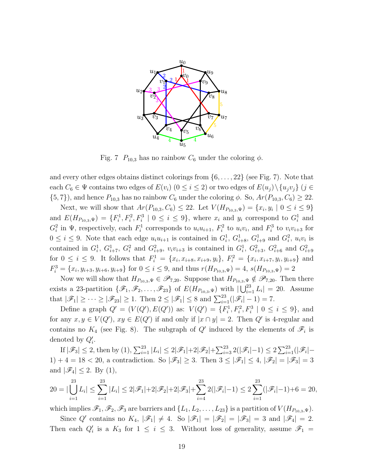

Fig. 7  $P_{10,3}$  has no rainbow  $C_6$  under the coloring  $\phi$ .

and every other edges obtains distinct colorings from  $\{6, \ldots, 22\}$  (see Fig. 7). Note that each  $C_6 \in \Psi$  contains two edges of  $E(v_i)$   $(0 \le i \le 2)$  or two edges of  $E(u_j) \setminus \{u_jv_j\}$   $(j \in$  $\{5, 7\}$ , and hence  $P_{10,3}$  has no rainbow  $C_6$  under the coloring  $\phi$ . So,  $Ar(P_{10,3}, C_6) \geq 22$ .

Next, we will show that  $Ar(P_{10,3}, C_6) \leq 22$ . Let  $V(H_{P_{10,3}, \Psi}) = \{x_i, y_i \mid 0 \leq i \leq 9\}$ and  $E(H_{P_{10,3},\Psi}) = \{F_i^1, F_i^2, F_i^3 \mid 0 \le i \le 9\}$ , where  $x_i$  and  $y_i$  correspond to  $G_i^1$  and  $G_i^2$  in  $\Psi$ , respectively, each  $F_i^1$  corresponds to  $u_iu_{i+1}$ ,  $F_i^2$  to  $u_iv_i$ , and  $F_i^3$  to  $v_iv_{i+3}$  for  $0 \leq i \leq 9$ . Note that each edge  $u_i u_{i+1}$  is contained in  $G_i^1$ ,  $G_{i+8}^1$ ,  $G_{i+9}^1$  and  $G_i^2$ ,  $u_i v_i$  is contained in  $G_i^1$ ,  $G_{i+7}^1$ ,  $G_i^2$  and  $G_{i+9}^2$ ,  $v_i v_{i+3}$  is contained in  $G_i^1$ ,  $G_{i+3}^2$ ,  $G_{i+6}^2$  and  $G_{i+9}^2$ for  $0 \leq i \leq 9$ . It follows that  $F_i^1 = \{x_i, x_{i+8}, x_{i+9}, y_i\}, F_i^2 = \{x_i, x_{i+7}, y_i, y_{i+9}\}$  and  $F_i^3 = \{x_i, y_{i+3}, y_{i+6}, y_{i+9}\}$  for  $0 \le i \le 9$ , and thus  $r(H_{P_{10,3},\Psi}) = 4$ ,  $s(H_{P_{10,3},\Psi}) = 2$ 

Now we will show that  $H_{P_{10,3},\Psi} \in \mathscr{P}_{7,20}$ . Suppose that  $H_{P_{10,3},\Psi} \notin \mathscr{P}_{7,20}$ . Then there exists a 23-partition  $\{\mathscr{F}_1,\mathscr{F}_2,\ldots,\mathscr{F}_{23}\}\$  of  $E(H_{P_{10,3},\Psi})$  with  $|\bigcup_{i=1}^{23}L_i|=20$ . Assume that  $|\mathscr{F}_1| \geq \cdots \geq |\mathscr{F}_{23}| \geq 1$ . Then  $2 \leq |\mathscr{F}_1| \leq 8$  and  $\sum_{i=1}^{23}(|\mathscr{F}_i| - 1) = 7$ .

Define a graph  $Q' = (V(Q'), E(Q'))$  as:  $V(Q') = \{F_i^1, F_i^2, F_i^3 \mid 0 \le i \le 9\}$ , and for any  $x, y \in V(Q')$ ,  $xy \in E(Q')$  if and only if  $|x \cap y| = 2$ . Then Q' is 4-regular and contains no  $K_4$  (see Fig. 8). The subgraph of Q' induced by the elements of  $\mathscr{F}_i$  is denoted by  $Q'_i$ .

If  $|\mathscr{F}_3| \leq 2$ , then by  $(1), \sum_{i=1}^{23} |L_i| \leq 2|\mathscr{F}_1| + 2|\mathscr{F}_2| + \sum_{i=3}^{23} 2(|\mathscr{F}_i| - 1) \leq 2 \sum_{i=1}^{23} (|\mathscr{F}_i| -$ 1) + 4 = 18 < 20, a contradiction. So  $|\mathscr{F}_3| \geq 3$ . Then  $3 \leq |\mathscr{F}_1| \leq 4$ ,  $|\mathscr{F}_2| = |\mathscr{F}_3| = 3$ and  $|\mathscr{F}_4| \leq 2$ . By (1),

$$
20 = |\bigcup_{i=1}^{23} L_i| \le \sum_{i=1}^{23} |L_i| \le 2|\mathcal{F}_1| + 2|\mathcal{F}_2| + 2|\mathcal{F}_3| + \sum_{i=4}^{23} 2(|\mathcal{F}_i| - 1) \le 2\sum_{i=1}^{23} (|\mathcal{F}_i| - 1) + 6 = 20,
$$

which implies  $\mathscr{F}_1, \mathscr{F}_2, \mathscr{F}_3$  are barriers and  $\{L_1, L_2, \ldots, L_{23}\}$  is a partition of  $V(H_{P_{10.3}, \Psi})$ .

Since Q' contains no  $K_4$ ,  $|\mathscr{F}_1| \neq 4$ . So  $|\mathscr{F}_1| = |\mathscr{F}_2| = |\mathscr{F}_3| = 3$  and  $|\mathscr{F}_4| = 2$ . Then each  $Q'_i$  is a  $K_3$  for  $1 \leq i \leq 3$ . Without loss of generality, assume  $\mathscr{F}_1$  =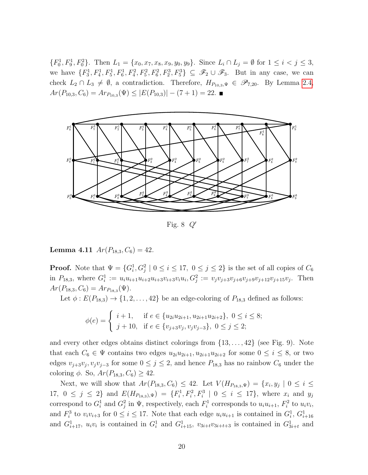$\{F_0^1, F_9^1, F_0^2\}$ . Then  $L_1 = \{x_0, x_7, x_8, x_9, y_0, y_9\}$ . Since  $L_i \cap L_j = \emptyset$  for  $1 \le i < j \le 3$ , we have  $\{F_3^1, F_4^1, F_5^1, F_6^1, F_4^2, F_5^2, F_6^2, F_2^3, F_5^3\} \subseteq \mathscr{F}_2 \cup \mathscr{F}_3$ . But in any case, we can check  $L_2 \cap L_3 \neq \emptyset$ , a contradiction. Therefore,  $H_{P_{10,3},\Psi} \in \mathscr{P}_{7,20}$ . By Lemma [2.4,](#page-5-0)  $Ar(P_{10,3}, C_6) = Ar_{P_{10,3}}(\Psi) \leq |E(P_{10,3})| - (7+1) = 22.$ 



Fig. 8  $Q'$ 

**Lemma 4.11**  $Ar(P_{18,3}, C_6) = 42$ .

**Proof.** Note that  $\Psi = \{G_i^1, G_j^2 \mid 0 \le i \le 17, 0 \le j \le 2\}$  is the set of all copies of  $C_6$ in  $P_{18,3}$ , where  $G_i^1 := u_i u_{i+1} u_{i+2} u_{i+3} v_{i+3} v_i u_i, G_j^2 := v_j v_{j+3} v_{j+6} v_{j+9} v_{j+12} v_{j+15} v_j$ . Then  $Ar(P_{18,3}, C_6) = Ar_{P_{18,3}}(\Psi).$ 

Let  $\phi: E(P_{18,3}) \rightarrow \{1, 2, ..., 42\}$  be an edge-coloring of  $P_{18,3}$  defined as follows:

$$
\phi(e) = \begin{cases} i+1, & \text{if } e \in \{u_{2i}u_{2i+1}, u_{2i+1}u_{2i+2}\}, \ 0 \le i \le 8; \\ j+10, & \text{if } e \in \{v_{j+3}v_j, v_jv_{j-3}\}, \ 0 \le j \le 2; \end{cases}
$$

and every other edges obtains distinct colorings from  $\{13, \ldots, 42\}$  (see Fig. 9). Note that each  $C_6 \in \Psi$  contains two edges  $u_{2i}u_{2i+1}, u_{2i+1}u_{2i+2}$  for some  $0 \leq i \leq 8$ , or two edges  $v_{j+3}v_j, v_jv_{j-3}$  for some  $0 \leq j \leq 2$ , and hence  $P_{18,3}$  has no rainbow  $C_6$  under the coloring  $\phi$ . So,  $Ar(P_{18,3}, C_6) \geq 42$ .

Next, we will show that  $Ar(P_{18,3}, C_6) \leq 42$ . Let  $V(H_{P_{18,3}, \Psi}) = \{x_i, y_j \mid 0 \leq i \leq 3\}$ 17,  $0 \leq j \leq 2$  and  $E(H_{P_{18,3}),\Psi}) = \{F_i^1, F_i^2, F_i^3 \mid 0 \leq i \leq 17\}$ , where  $x_i$  and  $y_j$ correspond to  $G_i^1$  and  $G_j^2$  in  $\Psi$ , respectively, each  $F_i^1$  corresponds to  $u_iu_{i+1}$ ,  $F_i^2$  to  $u_iv_i$ , and  $F_i^3$  to  $v_i v_{i+3}$  for  $0 \leq i \leq 17$ . Note that each edge  $u_i u_{i+1}$  is contained in  $G_i^1, G_{i+16}^1$ and  $G_{i+17}^1$ ,  $u_i v_i$  is contained in  $G_i^1$  and  $G_{i+15}^1$ ,  $v_{3i+t}v_{3i+t+3}$  is contained in  $G_{3i+t}^1$  and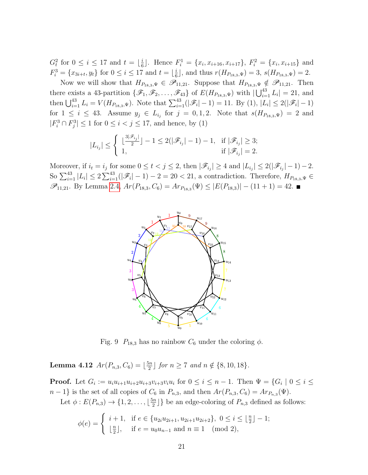$G_t^2$  for  $0 \leq i \leq 17$  and  $t = \lfloor \frac{i}{6} \rfloor$  $\frac{i}{6}$ . Hence  $F_i^1 = \{x_i, x_{i+16}, x_{i+17}\}, F_i^2 = \{x_i, x_{i+15}\}$  and  $F_i^3 = \{x_{3i+t}, y_t\}$  for  $0 \le i \le 17$  and  $t = \lfloor \frac{i}{6} \rfloor$  $\frac{i}{6}$ , and thus  $r(H_{P_{18,3},\Psi}) = 3$ ,  $s(H_{P_{18,3},\Psi}) = 2$ .

Now we will show that  $H_{P_{18,3},\Psi} \in \mathscr{P}_{11,21}$ . Suppose that  $H_{P_{18,3},\Psi} \notin \mathscr{P}_{11,21}$ . Then there exists a 43-partition  $\{\mathscr{F}_1,\mathscr{F}_2,\ldots,\mathscr{F}_{43}\}$  of  $E(H_{P_{18,3},\Psi})$  with  $|\bigcup_{i=1}^{43} L_i|=21$ , and then  $\bigcup_{i=1}^{43} L_i = V(H_{P_{18,3},\Psi})$ . Note that  $\sum_{i=1}^{43}(|\mathscr{F}_i| - 1) = 11$ . By (1),  $|L_i| \leq 2(|\mathscr{F}_i| - 1)$ for  $1 \leq i \leq 43$ . Assume  $y_j \in L_{i_j}$  for  $j = 0, 1, 2$ . Note that  $s(H_{P_{18,3},\Psi}) = 2$  and  $|F_i^3 \cap F_j^3| \le 1$  for  $0 \le i < j \le 17$ , and hence, by (1)

$$
|L_{i_j}| \leq \begin{cases} \lfloor \frac{3|\mathscr{F}_{i_j}|}{2} \rfloor - 1 \leq 2(|\mathscr{F}_{i_j}| - 1) - 1, & \text{if } |\mathscr{F}_{i_j}| \geq 3; \\ 1, & \text{if } |\mathscr{F}_{i_j}| = 2. \end{cases}
$$

Moreover, if  $i_t = i_j$  for some  $0 \le t < j \le 2$ , then  $|\mathscr{F}_{i_j}| \ge 4$  and  $|L_{i_j}| \le 2(|\mathscr{F}_{i_j}|-1)-2$ . So  $\sum_{i=1}^{43} |L_i| \leq 2 \sum_{i=1}^{43} (|\mathscr{F}_i| - 1) - 2 = 20 < 21$ , a contradiction. Therefore,  $H_{P_{18,3},\Psi} \in$  $\mathscr{P}_{11,21}$ . By Lemma [2.4,](#page-5-0)  $Ar(P_{18,3}, C_6) = Ar_{P_{18,3}}(\Psi) \leq |E(P_{18,3})| - (11 + 1) = 42$ .



Fig. 9  $P_{18,3}$  has no rainbow  $C_6$  under the coloring  $\phi$ .

<span id="page-20-0"></span>**Lemma 4.12**  $Ar(P_{n,3}, C_6) = \lfloor \frac{5n}{2} \rfloor$  $\frac{\sin}{2}$  for  $n \geq 7$  and  $n \notin \{8, 10, 18\}.$ 

**Proof.** Let  $G_i := u_i u_{i+1} u_{i+2} u_{i+3} v_{i+3} u_i$  for  $0 \le i \le n-1$ . Then  $\Psi = \{G_i \mid 0 \le i \le n-1\}$  $n-1$ } is the set of all copies of  $C_6$  in  $P_{n,3}$ , and then  $Ar(P_{n,3}, C_6) = Ar_{P_{n,3}}(\Psi)$ .

Let  $\phi: E(P_{n,3}) \to \{1, 2, \ldots, \lfloor \frac{5n}{2} \rfloor \}$  $\{2\pi}{2}$  be an edge-coloring of  $P_{n,3}$  defined as follows:

$$
\phi(e) = \begin{cases} i+1, & \text{if } e \in \{u_{2i}u_{2i+1}, u_{2i+1}u_{2i+2}\}, 0 \le i \le \lfloor \frac{n}{2} \rfloor - 1; \\ \lfloor \frac{n}{2} \rfloor, & \text{if } e = u_0u_{n-1} \text{ and } n \equiv 1 \pmod{2}, \end{cases}
$$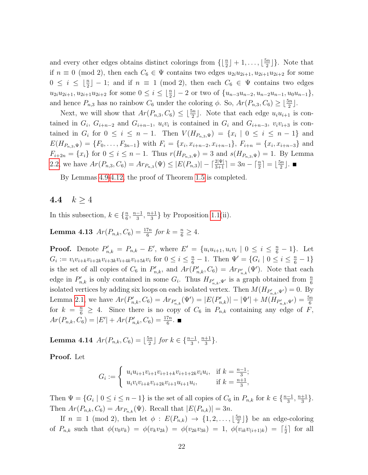and every other edges obtains distinct colorings from  $\left\{\lfloor \frac{n}{2} \rfloor + 1, \ldots, \lfloor \frac{5n}{2} \rfloor \right\}$  $\frac{\sin n}{2}$ . Note that if  $n \equiv 0 \pmod{2}$ , then each  $C_6 \in \Psi$  contains two edges  $u_{2i}u_{2i+1}, u_{2i+1}u_{2i+2}$  for some  $0 \leq i \leq \lfloor \frac{n}{2} \rfloor - 1$ ; and if  $n \equiv 1 \pmod{2}$ , then each  $C_6 \in \Psi$  contains two edges  $u_{2i}u_{2i+1}, u_{2i+1}u_{2i+2}$  for some  $0 \leq i \leq \lfloor \frac{n}{2} \rfloor - 2$  or two of  $\{u_{n-3}u_{n-2}, u_{n-2}u_{n-1}, u_0u_{n-1}\},$ and hence  $P_{n,3}$  has no rainbow  $C_6$  under the coloring  $\phi$ . So,  $Ar(P_{n,3}, C_6) \geq \lfloor \frac{5n}{2} \rfloor$ .

Next, we will show that  $Ar(P_{n,3}, C_6) \leq \lfloor \frac{5n}{2} \rfloor$ . Note that each edge  $u_i u_{i+1}$  is contained in  $G_i$ ,  $G_{i+n-2}$  and  $G_{i+n-1}$ ,  $u_i v_i$  is contained in  $G_i$  and  $G_{i+n-3}$ ,  $v_i v_{i+3}$  is contained in  $G_i$  for  $0 \leq i \leq n-1$ . Then  $V(H_{P_{n,3},\Psi}) = \{x_i \mid 0 \leq i \leq n-1\}$  and  $E(H_{P_{n,3},\Psi}) = \{F_0,\ldots,F_{3n-1}\}\$  with  $F_i = \{x_i,x_{i+n-2},x_{i+n-1}\},\ F_{i+n} = \{x_i,x_{i+n-3}\}\$  and  $F_{i+2n} = \{x_i\}$  for  $0 \le i \le n-1$ . Thus  $r(H_{P_{n,3},\Psi}) = 3$  and  $s(H_{P_{n,3},\Psi}) = 1$ . By Lemma [2.2,](#page-4-0) we have  $Ar(P_{n,3}, C_6) = Ar_{P_{n,3}}(\Psi) \leq |E(P_{n,3})| - \lceil \frac{2|\Psi|}{3+1} \rceil = 3n - \lceil \frac{n}{2} \rceil = \lfloor \frac{5n}{2} \rfloor$  $\frac{\sin}{2}$ .

By Lemmas [4.9-](#page-15-1)[4.12,](#page-20-0) the proof of Theorem [1.5](#page-3-0) is completed.

4.4  $k > 4$ 

In this subsection,  $k \in \{\frac{n}{6}, \frac{n-1}{3}$  $\frac{-1}{3}, \frac{n+1}{3}$  $\frac{+1}{3}$  by Proposition [1.1\(](#page-1-0)ii).

<span id="page-21-0"></span>**Lemma 4.13**  $Ar(P_{n,k}, C_6) = \frac{17n}{6}$  for  $k = \frac{n}{6} \ge 4$ .

**Proof.** Denote  $P'_{n,k} = P_{n,k} - E'$ , where  $E' = \{u_i u_{i+1}, u_i v_i \mid 0 \le i \le \frac{n}{6} - 1\}$ . Let  $G_i := v_i v_{i+k} v_{i+2k} v_{i+3k} v_{i+4k} v_{i+5k} v_i$  for  $0 \le i \le \frac{n}{6} - 1$ . Then  $\Psi' = \{ G_i \mid 0 \le i \le \frac{n}{6} - 1 \}$ is the set of all copies of  $C_6$  in  $P'_{n,k}$ , and  $Ar(P'_{n,k}, C_6) = Ar_{P'_{n,k}}(\Psi')$ . Note that each edge in  $P'_{n,k}$  is only contained in some  $G_i$ . Thus  $H_{P'_{n,k},\Psi'}$  is a graph obtained from  $\frac{n}{6}$ isolated vertices by adding six loops on each isolated vertex. Then  $M(H_{P'_{n,k},\Psi'})=0$ . By Lemma [2.1,](#page-4-1) we have  $Ar(P'_{n,k}, C_6) = Ar_{P'_{n,k}}(\Psi') = |E(P'_{n,k})| - |\Psi'| + M(H_{P'_{n,k},\Psi'}) = \frac{5n}{6}$ for  $k = \frac{n}{6} \geq 4$ . Since there is no copy of  $C_6$  in  $P_{n,k}$  containing any edge of F,  $Ar(P_{n,k}, C_6) = |E'| + Ar(P'_{n,k}, C_6) = \frac{17n}{6}.$ 

**Lemma 4.14**  $Ar(P_{n,k}, C_6) = \lfloor \frac{5n}{2} \rfloor$  $\frac{\sin}{2}$  ∫ for  $k \in \{\frac{n-1}{3}, \frac{n+1}{3}$  $\frac{+1}{3}$ .

Proof. Let

$$
G_i := \begin{cases} u_i u_{i+1} v_{i+1+k} v_{i+1+2k} v_i u_i, & \text{if } k = \frac{n-1}{3}; \\ u_i v_i v_{i+k} v_{i+2k} v_{i+1} u_{i+1} u_i, & \text{if } k = \frac{n+1}{3}, \end{cases}
$$

Then  $\Psi = \{G_i \mid 0 \le i \le n-1\}$  is the set of all copies of  $C_6$  in  $P_{n,k}$  for  $k \in \{\frac{n-1}{3}, \frac{n+1}{3}\}$  $\frac{+1}{3}$ . Then  $Ar(P_{n,k}, C_6) = Ar_{P_{n,k}}(\Psi)$ . Recall that  $|E(P_{n,k})| = 3n$ .

If  $n \equiv 1 \pmod{2}$ , then let  $\phi : E(P_{n,k}) \rightarrow \{1, 2, \ldots, \lfloor \frac{5n}{2} \rfloor \}$  $\frac{\sin n}{2}$ } be an edge-coloring of  $P_{n,k}$  such that  $\phi(v_0v_k) = \phi(v_kv_{2k}) = \phi(v_{2k}v_{3k}) = 1, \ \phi(v_{ik}v_{(i+1)k}) = \lceil \frac{i}{2} \rceil$  $\frac{i}{2}$  for all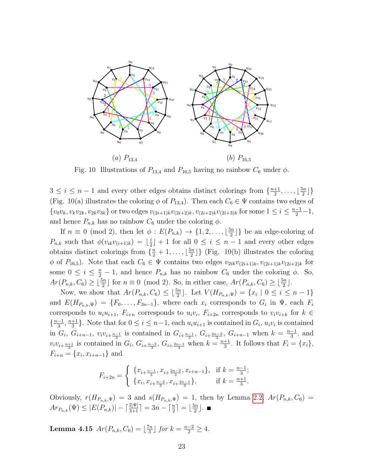

Fig. 10 Illustrations of  $P_{13,4}$  and  $P_{16,5}$  having no rainbow  $C_6$  under  $\phi$ .

 $3 \leq i \leq n-1$  and every other edges obtains distinct colorings from  $\{\frac{n+1}{2}\}$  $\frac{+1}{2}, \ldots, \lfloor \frac{5n}{2} \rfloor$  $\frac{\sin}{2}$ ] } (Fig. 10(a) illustrates the coloring  $\phi$  of  $P_{13,4}$ ). Then each  $C_6 \in \Psi$  contains two edges of  $\{v_0v_k, v_kv_{2k}, v_{2k}v_{3k}\}$  or two edges  $v_{(2i+1)k}v_{(2i+2)k}, v_{(2i+2)k}v_{(2i+3)k}$  for some  $1 \le i \le \frac{n-1}{2}-1$ , and hence  $P_{n,k}$  has no rainbow  $C_6$  under the coloring  $\phi$ .

If  $n \equiv 0 \pmod{2}$ , then let  $\phi : E(P_{n,k}) \rightarrow \{1, 2, \ldots, \lfloor \frac{5n}{2} \rfloor \}$  $\frac{\sin 2}{2}$  be an edge-coloring of  $P_{n,k}$  such that  $\phi(v_{ik}v_{(i+1)k}) = \lfloor \frac{i}{2} \rfloor$  $\frac{i}{2}$  + 1 for all  $0 \leq i \leq n-1$  and every other edges obtains distinct colorings from  $\{\frac{n}{2} + 1, \ldots, \lfloor \frac{5n}{2} \rfloor\}$  $\left[\frac{2m}{2}\right]$  (Fig. 10(b) illustrates the coloring  $\phi$  of  $P_{16,5}$ ). Note that each  $C_6 \in \Psi$  contains two edges  $v_{2ik}v_{(2i+1)k}, v_{(2i+1)k}v_{(2i+2)k}$  for some  $0 \leq i \leq \frac{n}{2} - 1$ , and hence  $P_{n,k}$  has no rainbow  $C_6$  under the coloring  $\phi$ . So,  $Ar(P_{n,k}, C_6) \geq \lfloor \frac{5n}{2} \rfloor$  for  $n \equiv 0 \pmod{2}$ . So, in either case,  $Ar(P_{n,k}, C_6) \geq \lfloor \frac{5n}{2} \rfloor$ .

Now, we show that  $Ar(P_{n,k}, C_6) \leq \lfloor \frac{5n}{2} \rfloor$ . Let  $V(H_{P_{n,k}, \Psi}) = \{x_i \mid 0 \leq i \leq n-1\}$ and  $E(H_{P_{n,k},\Psi}) = \{F_0,\ldots,F_{3n-1}\},\$  where each  $x_i$  corresponds to  $G_i$  in  $\Psi$ , each  $F_i$ corresponds to  $u_i u_{i+1}$ ,  $F_{i+n}$  corresponds to  $u_i v_i$ ,  $F_{i+2n}$  corresponds to  $v_i v_{i+k}$  for  $k \in$  $\left\{\frac{n-1}{2}\right\}$  $\frac{-1}{3}, \frac{n+1}{3}$  $\frac{+1}{3}$ . Note that for  $0 \leq i \leq n-1$ , each  $u_i u_{i+1}$  is contained in  $G_i$ ,  $u_i v_i$  is contained in  $G_i$ ,  $G_{i+n-1}$ ,  $v_i v_{i+\frac{n-1}{3}}$  is contained in  $G_{i+\frac{n-1}{3}}$ ,  $G_{i+\frac{2n-2}{3}}$ ,  $G_{i+n-1}$  when  $k = \frac{n-1}{3}$  $\frac{-1}{3}$ , and  $v_i v_{i+\frac{n+1}{3}}$  is contained in  $G_i$ ,  $G_{i+\frac{n-2}{3}}$ ,  $G_{i+\frac{2n-1}{3}}$  when  $k = \frac{n+1}{3}$  $\frac{+1}{3}$ . It follows that  $F_i = \{x_i\},\$  $F_{i+n} = \{x_i, x_{i+n-1}\}\$ and

$$
F_{i+2n} = \begin{cases} \{x_{i+\frac{n-1}{3}}, x_{i+\frac{2n-2}{3}}, x_{i+n-1}\}, & \text{if } k = \frac{n-1}{3};\\ \{x_i, x_{i+\frac{n-2}{3}}, x_{i+\frac{2n-1}{3}}\}, & \text{if } k = \frac{n+1}{3}. \end{cases}
$$

Obviously,  $r(H_{P_{n,k},\Psi}) = 3$  and  $s(H_{P_{n,k},\Psi}) = 1$ , then by Lemma [2.2,](#page-4-0)  $Ar(P_{n,k}, C_6) =$  $Ar_{P_{n,k}}(\Psi) \leq |E(P_{n,k})| - \lceil \frac{2|\Psi|}{3+1} \rceil = 3n - \lceil \frac{n}{2} \rceil = \lfloor \frac{5n}{2} \rfloor$  $\frac{\overline{2}}{2}$ .

<span id="page-22-0"></span>**Lemma 4.15**  $Ar(P_{n,k}, C_6) = \lfloor \frac{7n}{3} \rfloor$  $\frac{\pi n}{3}$  for  $k = \frac{n-2}{2} \geq 4$ .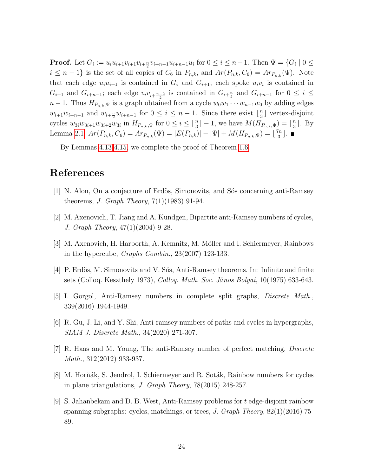**Proof.** Let  $G_i := u_i u_{i+1} v_{i+1} v_{i+n-1} u_{i+n-1} u_i$  for  $0 \le i \le n-1$ . Then  $\Psi = \{G_i \mid 0 \le i \le n-1\}$  $i \leq n-1$  is the set of all copies of  $C_6$  in  $P_{n,k}$ , and  $Ar(P_{n,k}, C_6) = Ar_{P_{n,k}}(\Psi)$ . Note that each edge  $u_i u_{i+1}$  is contained in  $G_i$  and  $G_{i+1}$ ; each spoke  $u_i v_i$  is contained in  $G_{i+1}$  and  $G_{i+n-1}$ ; each edge  $v_i v_{i+\frac{n-2}{2}}$  is contained in  $G_{i+\frac{n}{2}}$  and  $G_{i+n-1}$  for  $0 \leq i \leq$  $n-1$ . Thus  $H_{P_{n,k},\Psi}$  is a graph obtained from a cycle  $w_0w_1\cdots w_{n-1}w_0$  by adding edges  $w_{i+1}w_{i+n-1}$  and  $w_{i+\frac{n}{2}}w_{i+n-1}$  for  $0 \leq i \leq n-1$ . Since there exist  $\lfloor \frac{n}{3} \rfloor$  $\frac{n}{3}$  vertex-disjoint cycles  $w_{3i}w_{3i+1}w_{3i+2}w_{3i}$  in  $H_{P_{n,k},\Psi}$  for  $0 \leq i \leq \lfloor \frac{n}{3} \rfloor - 1$ , we have  $M(H_{P_{n,k},\Psi}) = \lfloor \frac{n}{3} \rfloor$  $\frac{n}{3}$ . By Lemma [2.1,](#page-4-1)  $Ar(P_{n,k}, C_6) = Ar_{P_{n,k}}(\Psi) = |E(P_{n,k})| - |\Psi| + M(H_{P_{n,k}, \Psi}) = \lfloor \frac{7n}{3} \rfloor$  $\frac{\pi}{3}$ .

By Lemmas [4.13-](#page-21-0)[4.15,](#page-22-0) we complete the proof of Theorem [1.6.](#page-3-1)

## References

- <span id="page-23-1"></span>[1] N. Alon, On a conjecture of Erdös, Simonovits, and Sós concerning anti-Ramsey theorems, *J. Graph Theory*,  $7(1)(1983)$  91-94.
- <span id="page-23-2"></span>[2] M. Axenovich, T. Jiang and A. Kündgen, Bipartite anti-Ramsey numbers of cycles, J. Graph Theory, 47(1)(2004) 9-28.
- <span id="page-23-6"></span>[3] M. Axenovich, H. Harborth, A. Kemnitz, M. Móller and I. Schiermeyer, Rainbows in the hypercube, Graphs Combin., 23(2007) 123-133.
- <span id="page-23-0"></span>[4] P. Erdös, M. Simonovits and V. Sós, Anti-Ramsey theorems. In: Infinite and finite sets (Colloq. Keszthely 1973), Colloq. Math. Soc. Ja´nos Bolyai, 10(1975) 633-643.
- <span id="page-23-7"></span>[5] I. Gorgol, Anti-Ramsey numbers in complete split graphs, Discrete Math., 339(2016) 1944-1949.
- <span id="page-23-5"></span>[6] R. Gu, J. Li, and Y. Shi, Anti-ramsey numbers of paths and cycles in hypergraphs, SIAM J. Discrete Math., 34(2020) 271-307.
- <span id="page-23-4"></span>[7] R. Haas and M. Young, The anti-Ramsey number of perfect matching, Discrete Math., 312(2012) 933-937.
- <span id="page-23-8"></span>[8] M. Horňák, S. Jendrol, I. Schiermeyer and R. Soták, Rainbow numbers for cycles in plane triangulations, J. Graph Theory, 78(2015) 248-257.
- <span id="page-23-3"></span>[9] S. Jahanbekam and D. B. West, Anti-Ramsey problems for t edge-disjoint rainbow spanning subgraphs: cycles, matchings, or trees, J. Graph Theory,  $82(1)(2016)$  75-89.